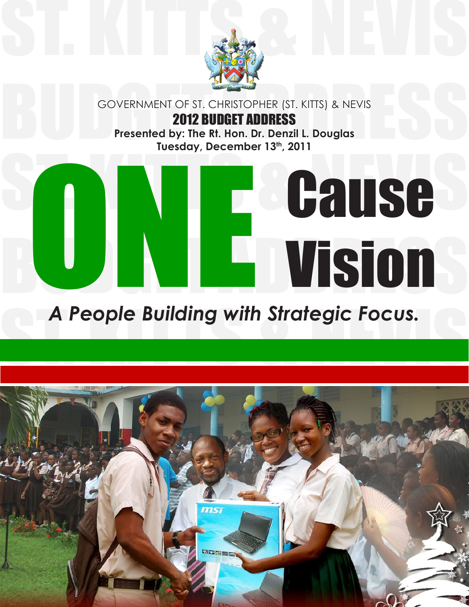

GOVERNMENT OF ST. CHRISTOPHER (ST. KITTS) & NEVIS<br> **2012 BUDGET ADDRESS**<br>
Presented by: The Rt. Hon. Dr. Denzil L. Douglas<br>
Tuesday, December 13<sup>th</sup>, 2011 GOVERNMENT OF ST. CHRISTOPHER (ST. KITTS) & NEVIS 2012 BUDGET ADDRESS **Presented by: The Rt. Hon. Dr. Denzil L. Douglas** Tuesday, December 13th, 2011

## ST. KITTLESUSE **Building with Strategic Focus.** Vision

# A People Building with Strategic Focus.<br><u>A people Building with Strategic Focus.</u><br>A people Building with Strategic Focus.

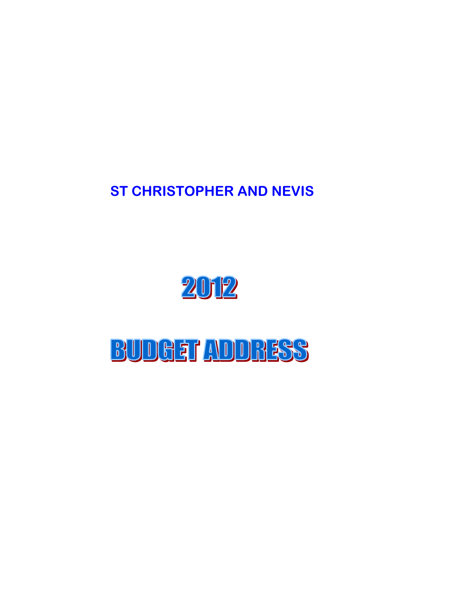ST CHRISTOPHER AND NEVIS



### **BUDGET ADDRESS**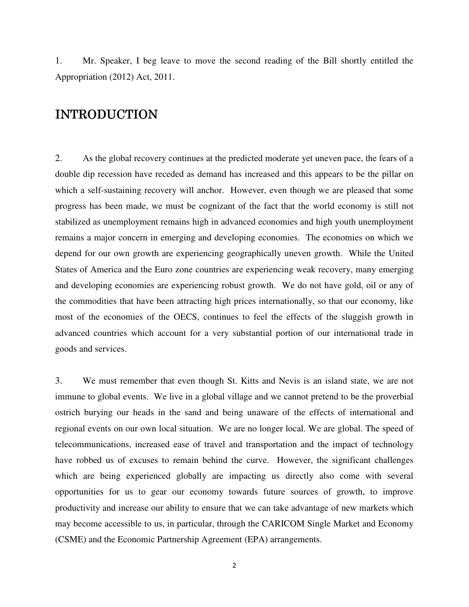1. Mr. Speaker, I beg leave to move the second reading of the Bill shortly entitled the Appropriation (2012) Act, 2011.

#### **INTRODUCTION**

2. As the global recovery continues at the predicted moderate yet uneven pace, the fears of a double dip recession have receded as demand has increased and this appears to be the pillar on which a self-sustaining recovery will anchor. However, even though we are pleased that some progress has been made, we must be cognizant of the fact that the world economy is still not stabilized as unemployment remains high in advanced economies and high youth unemployment remains a major concern in emerging and developing economies. The economies on which we depend for our own growth are experiencing geographically uneven growth. While the United States of America and the Euro zone countries are experiencing weak recovery, many emerging and developing economies are experiencing robust growth. We do not have gold, oil or any of the commodities that have been attracting high prices internationally, so that our economy, like most of the economies of the OECS, continues to feel the effects of the sluggish growth in advanced countries which account for a very substantial portion of our international trade in goods and services.

3. We must remember that even though St. Kitts and Nevis is an island state, we are not immune to global events. We live in a global village and we cannot pretend to be the proverbial ostrich burying our heads in the sand and being unaware of the effects of international and regional events on our own local situation. We are no longer local. We are global. The speed of telecommunications, increased ease of travel and transportation and the impact of technology have robbed us of excuses to remain behind the curve. However, the significant challenges which are being experienced globally are impacting us directly also come with several opportunities for us to gear our economy towards future sources of growth, to improve productivity and increase our ability to ensure that we can take advantage of new markets which may become accessible to us, in particular, through the CARICOM Single Market and Economy (CSME) and the Economic Partnership Agreement (EPA) arrangements.

2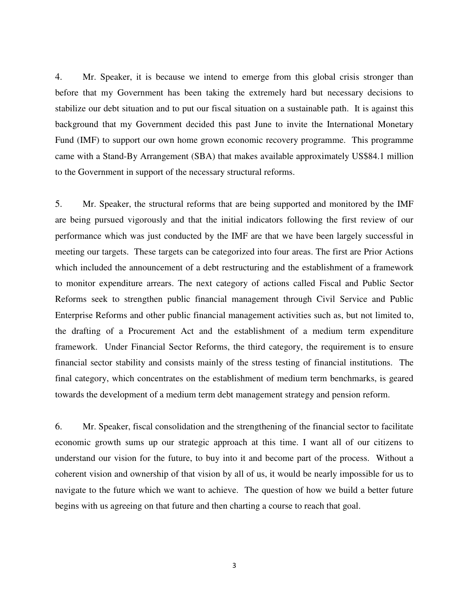4. Mr. Speaker, it is because we intend to emerge from this global crisis stronger than before that my Government has been taking the extremely hard but necessary decisions to stabilize our debt situation and to put our fiscal situation on a sustainable path. It is against this background that my Government decided this past June to invite the International Monetary Fund (IMF) to support our own home grown economic recovery programme. This programme came with a Stand-By Arrangement (SBA) that makes available approximately US\$84.1 million to the Government in support of the necessary structural reforms.

5. Mr. Speaker, the structural reforms that are being supported and monitored by the IMF are being pursued vigorously and that the initial indicators following the first review of our performance which was just conducted by the IMF are that we have been largely successful in meeting our targets. These targets can be categorized into four areas. The first are Prior Actions which included the announcement of a debt restructuring and the establishment of a framework to monitor expenditure arrears. The next category of actions called Fiscal and Public Sector Reforms seek to strengthen public financial management through Civil Service and Public Enterprise Reforms and other public financial management activities such as, but not limited to, the drafting of a Procurement Act and the establishment of a medium term expenditure framework. Under Financial Sector Reforms, the third category, the requirement is to ensure financial sector stability and consists mainly of the stress testing of financial institutions. The final category, which concentrates on the establishment of medium term benchmarks, is geared towards the development of a medium term debt management strategy and pension reform.

6. Mr. Speaker, fiscal consolidation and the strengthening of the financial sector to facilitate economic growth sums up our strategic approach at this time. I want all of our citizens to understand our vision for the future, to buy into it and become part of the process. Without a coherent vision and ownership of that vision by all of us, it would be nearly impossible for us to navigate to the future which we want to achieve. The question of how we build a better future begins with us agreeing on that future and then charting a course to reach that goal.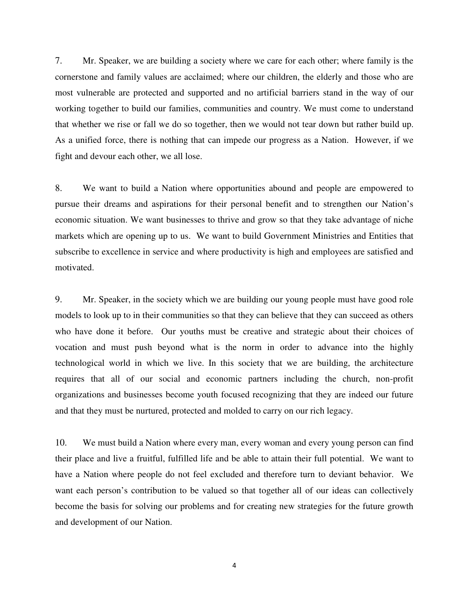7. Mr. Speaker, we are building a society where we care for each other; where family is the cornerstone and family values are acclaimed; where our children, the elderly and those who are most vulnerable are protected and supported and no artificial barriers stand in the way of our working together to build our families, communities and country. We must come to understand that whether we rise or fall we do so together, then we would not tear down but rather build up. As a unified force, there is nothing that can impede our progress as a Nation. However, if we fight and devour each other, we all lose.

8. We want to build a Nation where opportunities abound and people are empowered to pursue their dreams and aspirations for their personal benefit and to strengthen our Nation's economic situation. We want businesses to thrive and grow so that they take advantage of niche markets which are opening up to us. We want to build Government Ministries and Entities that subscribe to excellence in service and where productivity is high and employees are satisfied and motivated.

9. Mr. Speaker, in the society which we are building our young people must have good role models to look up to in their communities so that they can believe that they can succeed as others who have done it before. Our youths must be creative and strategic about their choices of vocation and must push beyond what is the norm in order to advance into the highly technological world in which we live. In this society that we are building, the architecture requires that all of our social and economic partners including the church, non-profit organizations and businesses become youth focused recognizing that they are indeed our future and that they must be nurtured, protected and molded to carry on our rich legacy.

10. We must build a Nation where every man, every woman and every young person can find their place and live a fruitful, fulfilled life and be able to attain their full potential. We want to have a Nation where people do not feel excluded and therefore turn to deviant behavior. We want each person's contribution to be valued so that together all of our ideas can collectively become the basis for solving our problems and for creating new strategies for the future growth and development of our Nation.

4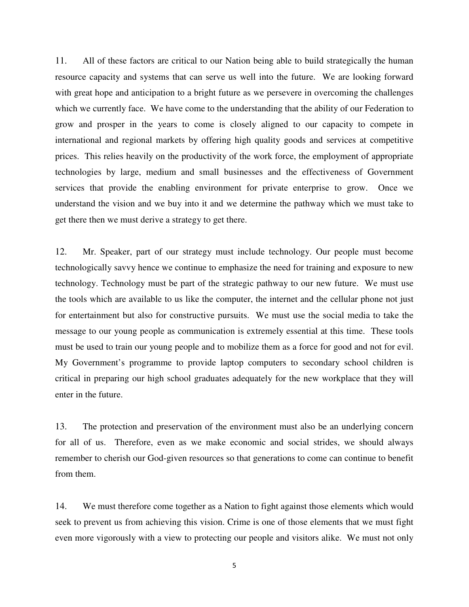11. All of these factors are critical to our Nation being able to build strategically the human resource capacity and systems that can serve us well into the future. We are looking forward with great hope and anticipation to a bright future as we persevere in overcoming the challenges which we currently face. We have come to the understanding that the ability of our Federation to grow and prosper in the years to come is closely aligned to our capacity to compete in international and regional markets by offering high quality goods and services at competitive prices. This relies heavily on the productivity of the work force, the employment of appropriate technologies by large, medium and small businesses and the effectiveness of Government services that provide the enabling environment for private enterprise to grow. Once we understand the vision and we buy into it and we determine the pathway which we must take to get there then we must derive a strategy to get there.

12. Mr. Speaker, part of our strategy must include technology. Our people must become technologically savvy hence we continue to emphasize the need for training and exposure to new technology. Technology must be part of the strategic pathway to our new future. We must use the tools which are available to us like the computer, the internet and the cellular phone not just for entertainment but also for constructive pursuits. We must use the social media to take the message to our young people as communication is extremely essential at this time. These tools must be used to train our young people and to mobilize them as a force for good and not for evil. My Government's programme to provide laptop computers to secondary school children is critical in preparing our high school graduates adequately for the new workplace that they will enter in the future.

13. The protection and preservation of the environment must also be an underlying concern for all of us. Therefore, even as we make economic and social strides, we should always remember to cherish our God-given resources so that generations to come can continue to benefit from them.

14. We must therefore come together as a Nation to fight against those elements which would seek to prevent us from achieving this vision. Crime is one of those elements that we must fight even more vigorously with a view to protecting our people and visitors alike. We must not only

5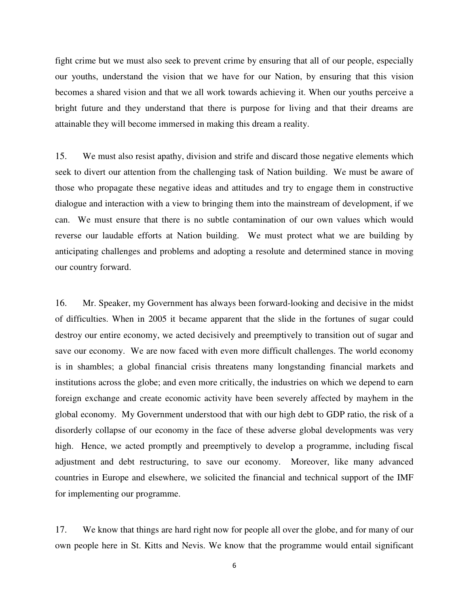fight crime but we must also seek to prevent crime by ensuring that all of our people, especially our youths, understand the vision that we have for our Nation, by ensuring that this vision becomes a shared vision and that we all work towards achieving it. When our youths perceive a bright future and they understand that there is purpose for living and that their dreams are attainable they will become immersed in making this dream a reality.

15. We must also resist apathy, division and strife and discard those negative elements which seek to divert our attention from the challenging task of Nation building. We must be aware of those who propagate these negative ideas and attitudes and try to engage them in constructive dialogue and interaction with a view to bringing them into the mainstream of development, if we can. We must ensure that there is no subtle contamination of our own values which would reverse our laudable efforts at Nation building. We must protect what we are building by anticipating challenges and problems and adopting a resolute and determined stance in moving our country forward.

16. Mr. Speaker, my Government has always been forward-looking and decisive in the midst of difficulties. When in 2005 it became apparent that the slide in the fortunes of sugar could destroy our entire economy, we acted decisively and preemptively to transition out of sugar and save our economy. We are now faced with even more difficult challenges. The world economy is in shambles; a global financial crisis threatens many longstanding financial markets and institutions across the globe; and even more critically, the industries on which we depend to earn foreign exchange and create economic activity have been severely affected by mayhem in the global economy. My Government understood that with our high debt to GDP ratio, the risk of a disorderly collapse of our economy in the face of these adverse global developments was very high. Hence, we acted promptly and preemptively to develop a programme, including fiscal adjustment and debt restructuring, to save our economy. Moreover, like many advanced countries in Europe and elsewhere, we solicited the financial and technical support of the IMF for implementing our programme.

17. We know that things are hard right now for people all over the globe, and for many of our own people here in St. Kitts and Nevis. We know that the programme would entail significant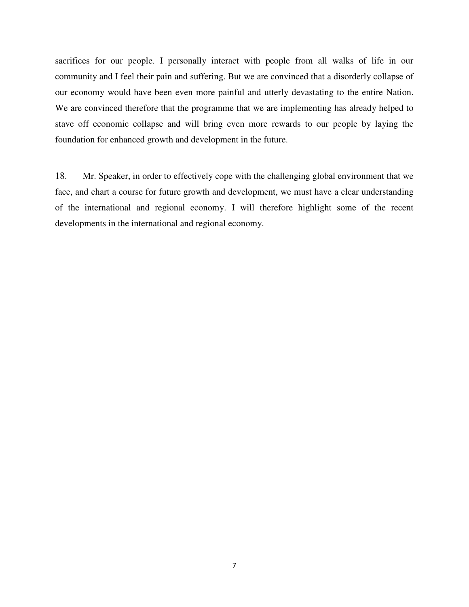sacrifices for our people. I personally interact with people from all walks of life in our community and I feel their pain and suffering. But we are convinced that a disorderly collapse of our economy would have been even more painful and utterly devastating to the entire Nation. We are convinced therefore that the programme that we are implementing has already helped to stave off economic collapse and will bring even more rewards to our people by laying the foundation for enhanced growth and development in the future.

18. Mr. Speaker, in order to effectively cope with the challenging global environment that we face, and chart a course for future growth and development, we must have a clear understanding of the international and regional economy. I will therefore highlight some of the recent developments in the international and regional economy.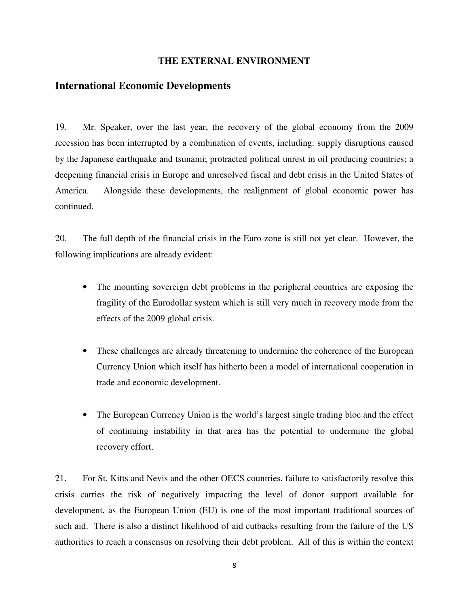#### **THE EXTERNAL ENVIRONMENT**

#### **International Economic Developments**

19. Mr. Speaker, over the last year, the recovery of the global economy from the 2009 recession has been interrupted by a combination of events, including: supply disruptions caused by the Japanese earthquake and tsunami; protracted political unrest in oil producing countries; a deepening financial crisis in Europe and unresolved fiscal and debt crisis in the United States of America. Alongside these developments, the realignment of global economic power has continued.

20. The full depth of the financial crisis in the Euro zone is still not yet clear. However, the following implications are already evident:

- The mounting sovereign debt problems in the peripheral countries are exposing the fragility of the Eurodollar system which is still very much in recovery mode from the effects of the 2009 global crisis.
- These challenges are already threatening to undermine the coherence of the European Currency Union which itself has hitherto been a model of international cooperation in trade and economic development.
- The European Currency Union is the world's largest single trading bloc and the effect of continuing instability in that area has the potential to undermine the global recovery effort.

21. For St. Kitts and Nevis and the other OECS countries, failure to satisfactorily resolve this crisis carries the risk of negatively impacting the level of donor support available for development, as the European Union (EU) is one of the most important traditional sources of such aid. There is also a distinct likelihood of aid cutbacks resulting from the failure of the US authorities to reach a consensus on resolving their debt problem. All of this is within the context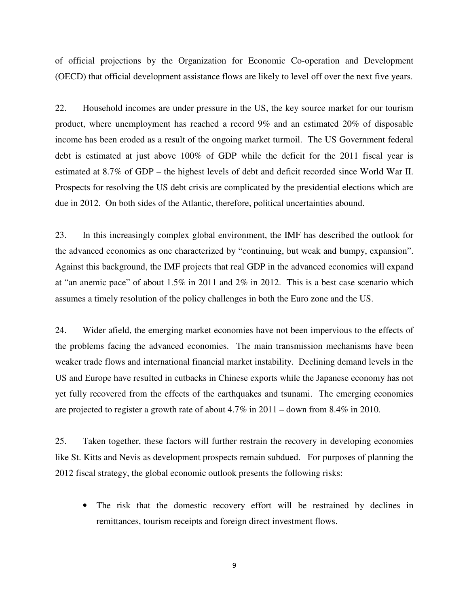of official projections by the Organization for Economic Co-operation and Development (OECD) that official development assistance flows are likely to level off over the next five years.

22. Household incomes are under pressure in the US, the key source market for our tourism product, where unemployment has reached a record 9% and an estimated 20% of disposable income has been eroded as a result of the ongoing market turmoil. The US Government federal debt is estimated at just above 100% of GDP while the deficit for the 2011 fiscal year is estimated at 8.7% of GDP – the highest levels of debt and deficit recorded since World War II. Prospects for resolving the US debt crisis are complicated by the presidential elections which are due in 2012. On both sides of the Atlantic, therefore, political uncertainties abound.

23. In this increasingly complex global environment, the IMF has described the outlook for the advanced economies as one characterized by "continuing, but weak and bumpy, expansion". Against this background, the IMF projects that real GDP in the advanced economies will expand at "an anemic pace" of about 1.5% in 2011 and 2% in 2012. This is a best case scenario which assumes a timely resolution of the policy challenges in both the Euro zone and the US.

24. Wider afield, the emerging market economies have not been impervious to the effects of the problems facing the advanced economies. The main transmission mechanisms have been weaker trade flows and international financial market instability. Declining demand levels in the US and Europe have resulted in cutbacks in Chinese exports while the Japanese economy has not yet fully recovered from the effects of the earthquakes and tsunami. The emerging economies are projected to register a growth rate of about 4.7% in 2011 – down from 8.4% in 2010.

25. Taken together, these factors will further restrain the recovery in developing economies like St. Kitts and Nevis as development prospects remain subdued. For purposes of planning the 2012 fiscal strategy, the global economic outlook presents the following risks:

• The risk that the domestic recovery effort will be restrained by declines in remittances, tourism receipts and foreign direct investment flows.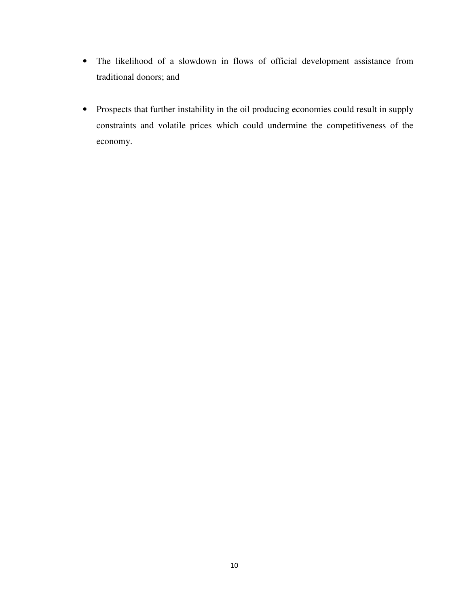- The likelihood of a slowdown in flows of official development assistance from traditional donors; and
- Prospects that further instability in the oil producing economies could result in supply constraints and volatile prices which could undermine the competitiveness of the economy.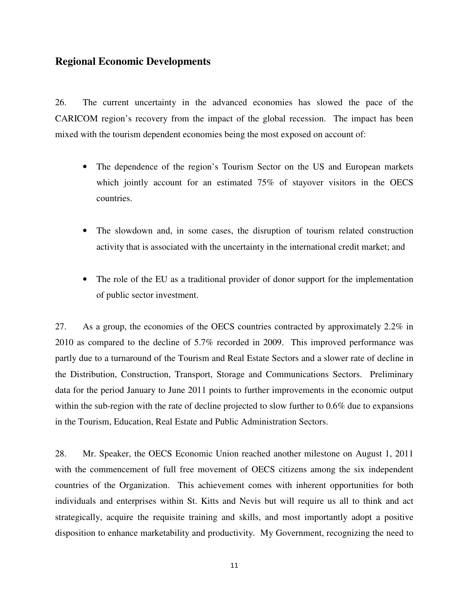#### **Regional Economic Developments**

26. The current uncertainty in the advanced economies has slowed the pace of the CARICOM region's recovery from the impact of the global recession. The impact has been mixed with the tourism dependent economies being the most exposed on account of:

- The dependence of the region's Tourism Sector on the US and European markets which jointly account for an estimated 75% of stayover visitors in the OECS countries.
- The slowdown and, in some cases, the disruption of tourism related construction activity that is associated with the uncertainty in the international credit market; and
- The role of the EU as a traditional provider of donor support for the implementation of public sector investment.

27. As a group, the economies of the OECS countries contracted by approximately 2.2% in 2010 as compared to the decline of 5.7% recorded in 2009. This improved performance was partly due to a turnaround of the Tourism and Real Estate Sectors and a slower rate of decline in the Distribution, Construction, Transport, Storage and Communications Sectors. Preliminary data for the period January to June 2011 points to further improvements in the economic output within the sub-region with the rate of decline projected to slow further to 0.6% due to expansions in the Tourism, Education, Real Estate and Public Administration Sectors.

28. Mr. Speaker, the OECS Economic Union reached another milestone on August 1, 2011 with the commencement of full free movement of OECS citizens among the six independent countries of the Organization. This achievement comes with inherent opportunities for both individuals and enterprises within St. Kitts and Nevis but will require us all to think and act strategically, acquire the requisite training and skills, and most importantly adopt a positive disposition to enhance marketability and productivity. My Government, recognizing the need to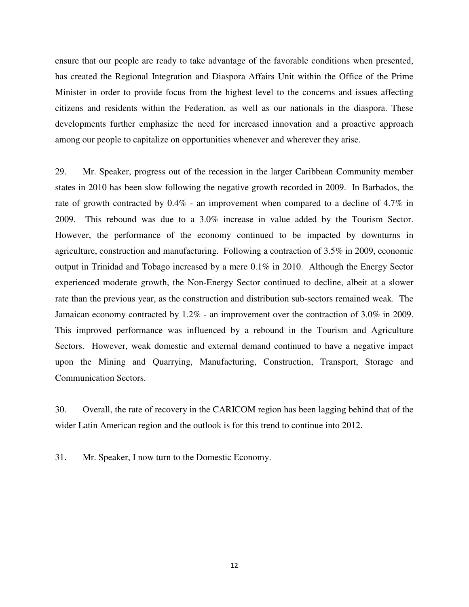ensure that our people are ready to take advantage of the favorable conditions when presented, has created the Regional Integration and Diaspora Affairs Unit within the Office of the Prime Minister in order to provide focus from the highest level to the concerns and issues affecting citizens and residents within the Federation, as well as our nationals in the diaspora. These developments further emphasize the need for increased innovation and a proactive approach among our people to capitalize on opportunities whenever and wherever they arise.

29. Mr. Speaker, progress out of the recession in the larger Caribbean Community member states in 2010 has been slow following the negative growth recorded in 2009. In Barbados, the rate of growth contracted by 0.4% - an improvement when compared to a decline of 4.7% in 2009. This rebound was due to a 3.0% increase in value added by the Tourism Sector. However, the performance of the economy continued to be impacted by downturns in agriculture, construction and manufacturing. Following a contraction of 3.5% in 2009, economic output in Trinidad and Tobago increased by a mere 0.1% in 2010. Although the Energy Sector experienced moderate growth, the Non-Energy Sector continued to decline, albeit at a slower rate than the previous year, as the construction and distribution sub-sectors remained weak. The Jamaican economy contracted by 1.2% - an improvement over the contraction of 3.0% in 2009. This improved performance was influenced by a rebound in the Tourism and Agriculture Sectors. However, weak domestic and external demand continued to have a negative impact upon the Mining and Quarrying, Manufacturing, Construction, Transport, Storage and Communication Sectors.

30. Overall, the rate of recovery in the CARICOM region has been lagging behind that of the wider Latin American region and the outlook is for this trend to continue into 2012.

31. Mr. Speaker, I now turn to the Domestic Economy.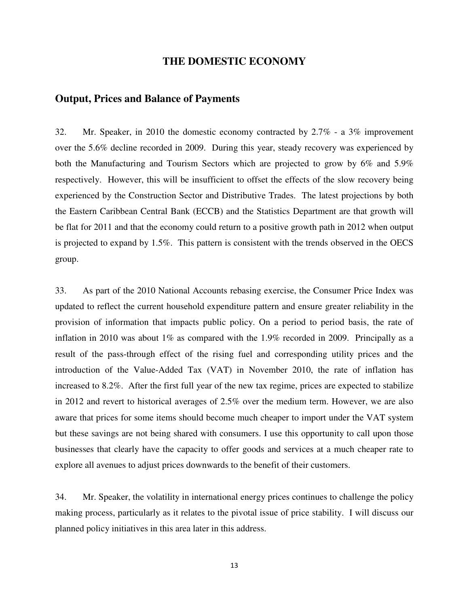#### **THE DOMESTIC ECONOMY**

#### **Output, Prices and Balance of Payments**

32. Mr. Speaker, in 2010 the domestic economy contracted by 2.7% - a 3% improvement over the 5.6% decline recorded in 2009. During this year, steady recovery was experienced by both the Manufacturing and Tourism Sectors which are projected to grow by 6% and 5.9% respectively. However, this will be insufficient to offset the effects of the slow recovery being experienced by the Construction Sector and Distributive Trades. The latest projections by both the Eastern Caribbean Central Bank (ECCB) and the Statistics Department are that growth will be flat for 2011 and that the economy could return to a positive growth path in 2012 when output is projected to expand by 1.5%. This pattern is consistent with the trends observed in the OECS group.

33. As part of the 2010 National Accounts rebasing exercise, the Consumer Price Index was updated to reflect the current household expenditure pattern and ensure greater reliability in the provision of information that impacts public policy. On a period to period basis, the rate of inflation in 2010 was about 1% as compared with the 1.9% recorded in 2009. Principally as a result of the pass-through effect of the rising fuel and corresponding utility prices and the introduction of the Value-Added Tax (VAT) in November 2010, the rate of inflation has increased to 8.2%. After the first full year of the new tax regime, prices are expected to stabilize in 2012 and revert to historical averages of 2.5% over the medium term. However, we are also aware that prices for some items should become much cheaper to import under the VAT system but these savings are not being shared with consumers. I use this opportunity to call upon those businesses that clearly have the capacity to offer goods and services at a much cheaper rate to explore all avenues to adjust prices downwards to the benefit of their customers.

34. Mr. Speaker, the volatility in international energy prices continues to challenge the policy making process, particularly as it relates to the pivotal issue of price stability. I will discuss our planned policy initiatives in this area later in this address.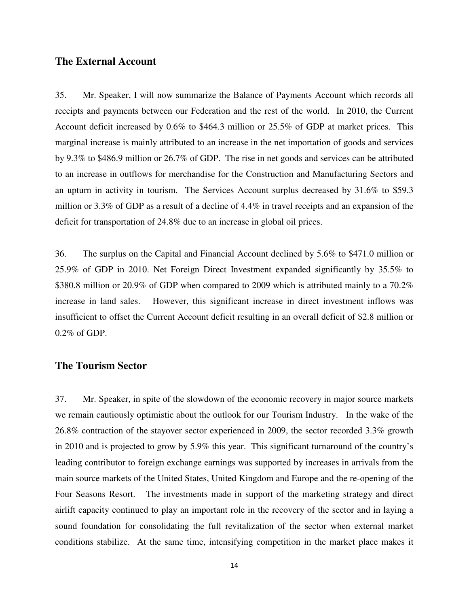#### **The External Account**

35. Mr. Speaker, I will now summarize the Balance of Payments Account which records all receipts and payments between our Federation and the rest of the world. In 2010, the Current Account deficit increased by 0.6% to \$464.3 million or 25.5% of GDP at market prices. This marginal increase is mainly attributed to an increase in the net importation of goods and services by 9.3% to \$486.9 million or 26.7% of GDP. The rise in net goods and services can be attributed to an increase in outflows for merchandise for the Construction and Manufacturing Sectors and an upturn in activity in tourism. The Services Account surplus decreased by 31.6% to \$59.3 million or 3.3% of GDP as a result of a decline of 4.4% in travel receipts and an expansion of the deficit for transportation of 24.8% due to an increase in global oil prices.

36. The surplus on the Capital and Financial Account declined by 5.6% to \$471.0 million or 25.9% of GDP in 2010. Net Foreign Direct Investment expanded significantly by 35.5% to \$380.8 million or 20.9% of GDP when compared to 2009 which is attributed mainly to a 70.2% increase in land sales. However, this significant increase in direct investment inflows was insufficient to offset the Current Account deficit resulting in an overall deficit of \$2.8 million or 0.2% of GDP.

#### **The Tourism Sector**

37. Mr. Speaker, in spite of the slowdown of the economic recovery in major source markets we remain cautiously optimistic about the outlook for our Tourism Industry. In the wake of the 26.8% contraction of the stayover sector experienced in 2009, the sector recorded 3.3% growth in 2010 and is projected to grow by 5.9% this year. This significant turnaround of the country's leading contributor to foreign exchange earnings was supported by increases in arrivals from the main source markets of the United States, United Kingdom and Europe and the re-opening of the Four Seasons Resort. The investments made in support of the marketing strategy and direct airlift capacity continued to play an important role in the recovery of the sector and in laying a sound foundation for consolidating the full revitalization of the sector when external market conditions stabilize. At the same time, intensifying competition in the market place makes it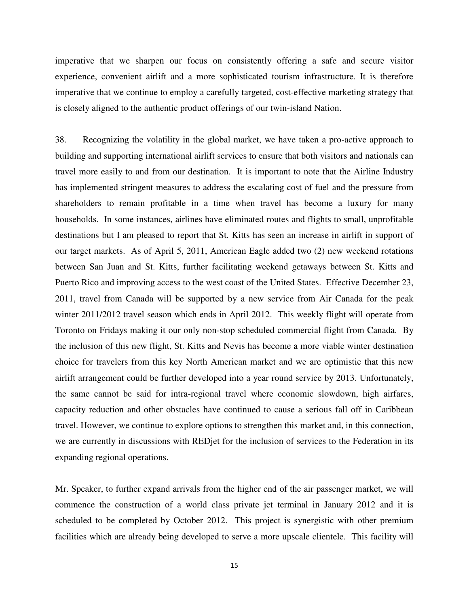imperative that we sharpen our focus on consistently offering a safe and secure visitor experience, convenient airlift and a more sophisticated tourism infrastructure. It is therefore imperative that we continue to employ a carefully targeted, cost-effective marketing strategy that is closely aligned to the authentic product offerings of our twin-island Nation.

38. Recognizing the volatility in the global market, we have taken a pro-active approach to building and supporting international airlift services to ensure that both visitors and nationals can travel more easily to and from our destination. It is important to note that the Airline Industry has implemented stringent measures to address the escalating cost of fuel and the pressure from shareholders to remain profitable in a time when travel has become a luxury for many households. In some instances, airlines have eliminated routes and flights to small, unprofitable destinations but I am pleased to report that St. Kitts has seen an increase in airlift in support of our target markets. As of April 5, 2011, American Eagle added two (2) new weekend rotations between San Juan and St. Kitts, further facilitating weekend getaways between St. Kitts and Puerto Rico and improving access to the west coast of the United States. Effective December 23, 2011, travel from Canada will be supported by a new service from Air Canada for the peak winter 2011/2012 travel season which ends in April 2012. This weekly flight will operate from Toronto on Fridays making it our only non-stop scheduled commercial flight from Canada. By the inclusion of this new flight, St. Kitts and Nevis has become a more viable winter destination choice for travelers from this key North American market and we are optimistic that this new airlift arrangement could be further developed into a year round service by 2013. Unfortunately, the same cannot be said for intra-regional travel where economic slowdown, high airfares, capacity reduction and other obstacles have continued to cause a serious fall off in Caribbean travel. However, we continue to explore options to strengthen this market and, in this connection, we are currently in discussions with REDjet for the inclusion of services to the Federation in its expanding regional operations.

Mr. Speaker, to further expand arrivals from the higher end of the air passenger market, we will commence the construction of a world class private jet terminal in January 2012 and it is scheduled to be completed by October 2012. This project is synergistic with other premium facilities which are already being developed to serve a more upscale clientele. This facility will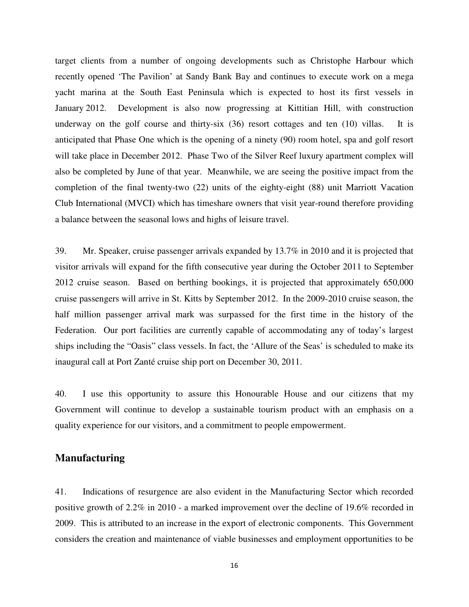target clients from a number of ongoing developments such as Christophe Harbour which recently opened 'The Pavilion' at Sandy Bank Bay and continues to execute work on a mega yacht marina at the South East Peninsula which is expected to host its first vessels in January 2012. Development is also now progressing at Kittitian Hill, with construction underway on the golf course and thirty-six (36) resort cottages and ten (10) villas. It is anticipated that Phase One which is the opening of a ninety (90) room hotel, spa and golf resort will take place in December 2012. Phase Two of the Silver Reef luxury apartment complex will also be completed by June of that year. Meanwhile, we are seeing the positive impact from the completion of the final twenty-two (22) units of the eighty-eight (88) unit Marriott Vacation Club International (MVCI) which has timeshare owners that visit year-round therefore providing a balance between the seasonal lows and highs of leisure travel.

39. Mr. Speaker, cruise passenger arrivals expanded by 13.7% in 2010 and it is projected that visitor arrivals will expand for the fifth consecutive year during the October 2011 to September 2012 cruise season. Based on berthing bookings, it is projected that approximately 650,000 cruise passengers will arrive in St. Kitts by September 2012. In the 2009-2010 cruise season, the half million passenger arrival mark was surpassed for the first time in the history of the Federation. Our port facilities are currently capable of accommodating any of today's largest ships including the "Oasis" class vessels. In fact, the 'Allure of the Seas' is scheduled to make its inaugural call at Port Zanté cruise ship port on December 30, 2011.

40. I use this opportunity to assure this Honourable House and our citizens that my Government will continue to develop a sustainable tourism product with an emphasis on a quality experience for our visitors, and a commitment to people empowerment.

#### **Manufacturing**

41. Indications of resurgence are also evident in the Manufacturing Sector which recorded positive growth of 2.2% in 2010 - a marked improvement over the decline of 19.6% recorded in 2009. This is attributed to an increase in the export of electronic components. This Government considers the creation and maintenance of viable businesses and employment opportunities to be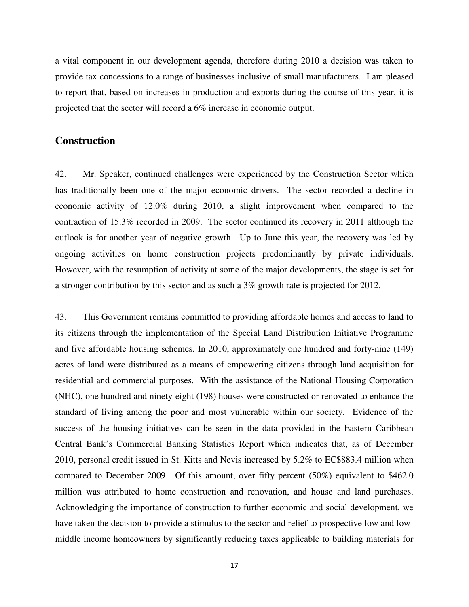a vital component in our development agenda, therefore during 2010 a decision was taken to provide tax concessions to a range of businesses inclusive of small manufacturers. I am pleased to report that, based on increases in production and exports during the course of this year, it is projected that the sector will record a 6% increase in economic output.

#### **Construction**

42. Mr. Speaker, continued challenges were experienced by the Construction Sector which has traditionally been one of the major economic drivers. The sector recorded a decline in economic activity of 12.0% during 2010, a slight improvement when compared to the contraction of 15.3% recorded in 2009. The sector continued its recovery in 2011 although the outlook is for another year of negative growth. Up to June this year, the recovery was led by ongoing activities on home construction projects predominantly by private individuals. However, with the resumption of activity at some of the major developments, the stage is set for a stronger contribution by this sector and as such a 3% growth rate is projected for 2012.

43. This Government remains committed to providing affordable homes and access to land to its citizens through the implementation of the Special Land Distribution Initiative Programme and five affordable housing schemes. In 2010, approximately one hundred and forty-nine (149) acres of land were distributed as a means of empowering citizens through land acquisition for residential and commercial purposes. With the assistance of the National Housing Corporation (NHC), one hundred and ninety-eight (198) houses were constructed or renovated to enhance the standard of living among the poor and most vulnerable within our society. Evidence of the success of the housing initiatives can be seen in the data provided in the Eastern Caribbean Central Bank's Commercial Banking Statistics Report which indicates that, as of December 2010, personal credit issued in St. Kitts and Nevis increased by 5.2% to EC\$883.4 million when compared to December 2009. Of this amount, over fifty percent (50%) equivalent to \$462.0 million was attributed to home construction and renovation, and house and land purchases. Acknowledging the importance of construction to further economic and social development, we have taken the decision to provide a stimulus to the sector and relief to prospective low and lowmiddle income homeowners by significantly reducing taxes applicable to building materials for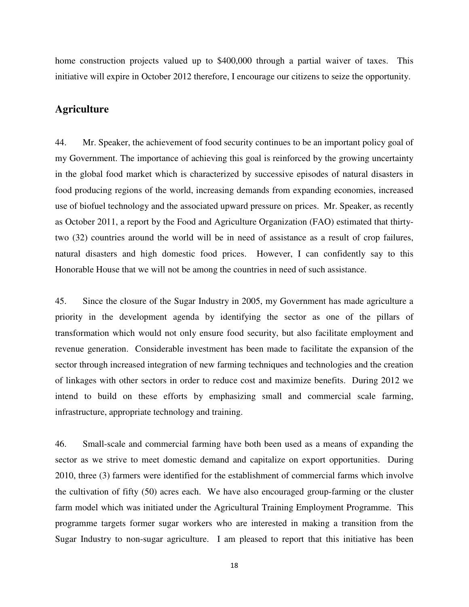home construction projects valued up to \$400,000 through a partial waiver of taxes. This initiative will expire in October 2012 therefore, I encourage our citizens to seize the opportunity.

#### **Agriculture**

44. Mr. Speaker, the achievement of food security continues to be an important policy goal of my Government. The importance of achieving this goal is reinforced by the growing uncertainty in the global food market which is characterized by successive episodes of natural disasters in food producing regions of the world, increasing demands from expanding economies, increased use of biofuel technology and the associated upward pressure on prices. Mr. Speaker, as recently as October 2011, a report by the Food and Agriculture Organization (FAO) estimated that thirtytwo (32) countries around the world will be in need of assistance as a result of crop failures, natural disasters and high domestic food prices. However, I can confidently say to this Honorable House that we will not be among the countries in need of such assistance.

45. Since the closure of the Sugar Industry in 2005, my Government has made agriculture a priority in the development agenda by identifying the sector as one of the pillars of transformation which would not only ensure food security, but also facilitate employment and revenue generation. Considerable investment has been made to facilitate the expansion of the sector through increased integration of new farming techniques and technologies and the creation of linkages with other sectors in order to reduce cost and maximize benefits. During 2012 we intend to build on these efforts by emphasizing small and commercial scale farming, infrastructure, appropriate technology and training.

46. Small-scale and commercial farming have both been used as a means of expanding the sector as we strive to meet domestic demand and capitalize on export opportunities. During 2010, three (3) farmers were identified for the establishment of commercial farms which involve the cultivation of fifty (50) acres each. We have also encouraged group-farming or the cluster farm model which was initiated under the Agricultural Training Employment Programme. This programme targets former sugar workers who are interested in making a transition from the Sugar Industry to non-sugar agriculture. I am pleased to report that this initiative has been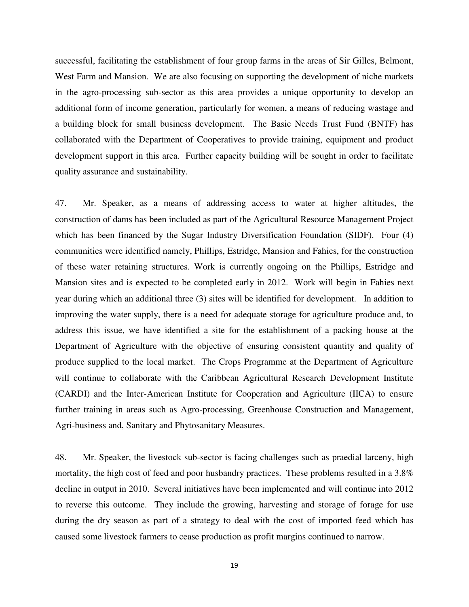successful, facilitating the establishment of four group farms in the areas of Sir Gilles, Belmont, West Farm and Mansion. We are also focusing on supporting the development of niche markets in the agro-processing sub-sector as this area provides a unique opportunity to develop an additional form of income generation, particularly for women, a means of reducing wastage and a building block for small business development. The Basic Needs Trust Fund (BNTF) has collaborated with the Department of Cooperatives to provide training, equipment and product development support in this area. Further capacity building will be sought in order to facilitate quality assurance and sustainability.

47. Mr. Speaker, as a means of addressing access to water at higher altitudes, the construction of dams has been included as part of the Agricultural Resource Management Project which has been financed by the Sugar Industry Diversification Foundation (SIDF). Four (4) communities were identified namely, Phillips, Estridge, Mansion and Fahies, for the construction of these water retaining structures. Work is currently ongoing on the Phillips, Estridge and Mansion sites and is expected to be completed early in 2012. Work will begin in Fahies next year during which an additional three (3) sites will be identified for development. In addition to improving the water supply, there is a need for adequate storage for agriculture produce and, to address this issue, we have identified a site for the establishment of a packing house at the Department of Agriculture with the objective of ensuring consistent quantity and quality of produce supplied to the local market. The Crops Programme at the Department of Agriculture will continue to collaborate with the Caribbean Agricultural Research Development Institute (CARDI) and the Inter-American Institute for Cooperation and Agriculture (IICA) to ensure further training in areas such as Agro-processing, Greenhouse Construction and Management, Agri-business and, Sanitary and Phytosanitary Measures.

48. Mr. Speaker, the livestock sub-sector is facing challenges such as praedial larceny, high mortality, the high cost of feed and poor husbandry practices. These problems resulted in a 3.8% decline in output in 2010. Several initiatives have been implemented and will continue into 2012 to reverse this outcome. They include the growing, harvesting and storage of forage for use during the dry season as part of a strategy to deal with the cost of imported feed which has caused some livestock farmers to cease production as profit margins continued to narrow.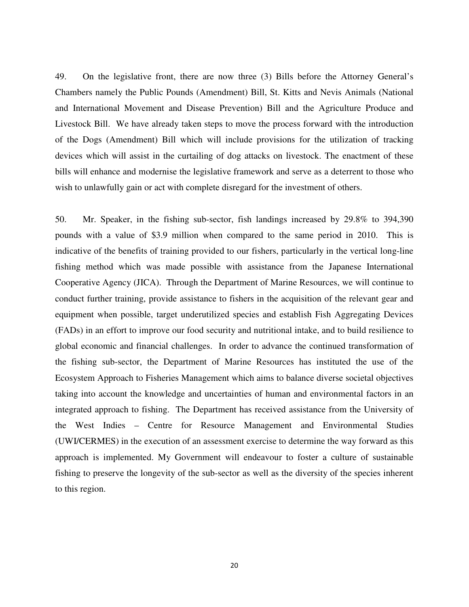49. On the legislative front, there are now three (3) Bills before the Attorney General's Chambers namely the Public Pounds (Amendment) Bill, St. Kitts and Nevis Animals (National and International Movement and Disease Prevention) Bill and the Agriculture Produce and Livestock Bill. We have already taken steps to move the process forward with the introduction of the Dogs (Amendment) Bill which will include provisions for the utilization of tracking devices which will assist in the curtailing of dog attacks on livestock. The enactment of these bills will enhance and modernise the legislative framework and serve as a deterrent to those who wish to unlawfully gain or act with complete disregard for the investment of others.

50. Mr. Speaker, in the fishing sub-sector, fish landings increased by 29.8% to 394,390 pounds with a value of \$3.9 million when compared to the same period in 2010. This is indicative of the benefits of training provided to our fishers, particularly in the vertical long-line fishing method which was made possible with assistance from the Japanese International Cooperative Agency (JICA). Through the Department of Marine Resources, we will continue to conduct further training, provide assistance to fishers in the acquisition of the relevant gear and equipment when possible, target underutilized species and establish Fish Aggregating Devices (FADs) in an effort to improve our food security and nutritional intake, and to build resilience to global economic and financial challenges. In order to advance the continued transformation of the fishing sub-sector, the Department of Marine Resources has instituted the use of the Ecosystem Approach to Fisheries Management which aims to balance diverse societal objectives taking into account the knowledge and uncertainties of human and environmental factors in an integrated approach to fishing. The Department has received assistance from the University of the West Indies – Centre for Resource Management and Environmental Studies (UWI/CERMES) in the execution of an assessment exercise to determine the way forward as this approach is implemented. My Government will endeavour to foster a culture of sustainable fishing to preserve the longevity of the sub-sector as well as the diversity of the species inherent to this region.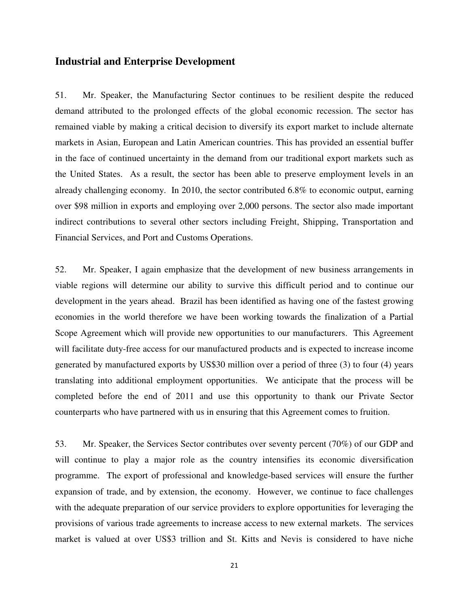#### **Industrial and Enterprise Development**

51. Mr. Speaker, the Manufacturing Sector continues to be resilient despite the reduced demand attributed to the prolonged effects of the global economic recession. The sector has remained viable by making a critical decision to diversify its export market to include alternate markets in Asian, European and Latin American countries. This has provided an essential buffer in the face of continued uncertainty in the demand from our traditional export markets such as the United States. As a result, the sector has been able to preserve employment levels in an already challenging economy. In 2010, the sector contributed 6.8% to economic output, earning over \$98 million in exports and employing over 2,000 persons. The sector also made important indirect contributions to several other sectors including Freight, Shipping, Transportation and Financial Services, and Port and Customs Operations.

52. Mr. Speaker, I again emphasize that the development of new business arrangements in viable regions will determine our ability to survive this difficult period and to continue our development in the years ahead. Brazil has been identified as having one of the fastest growing economies in the world therefore we have been working towards the finalization of a Partial Scope Agreement which will provide new opportunities to our manufacturers. This Agreement will facilitate duty-free access for our manufactured products and is expected to increase income generated by manufactured exports by US\$30 million over a period of three (3) to four (4) years translating into additional employment opportunities. We anticipate that the process will be completed before the end of 2011 and use this opportunity to thank our Private Sector counterparts who have partnered with us in ensuring that this Agreement comes to fruition.

53. Mr. Speaker, the Services Sector contributes over seventy percent (70%) of our GDP and will continue to play a major role as the country intensifies its economic diversification programme. The export of professional and knowledge-based services will ensure the further expansion of trade, and by extension, the economy. However, we continue to face challenges with the adequate preparation of our service providers to explore opportunities for leveraging the provisions of various trade agreements to increase access to new external markets. The services market is valued at over US\$3 trillion and St. Kitts and Nevis is considered to have niche

21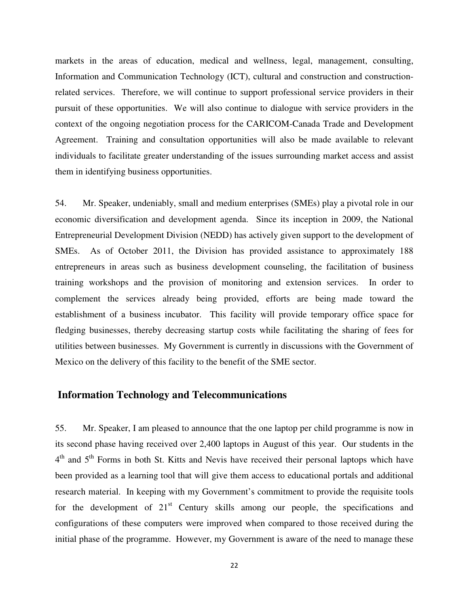markets in the areas of education, medical and wellness, legal, management, consulting, Information and Communication Technology (ICT), cultural and construction and constructionrelated services. Therefore, we will continue to support professional service providers in their pursuit of these opportunities. We will also continue to dialogue with service providers in the context of the ongoing negotiation process for the CARICOM-Canada Trade and Development Agreement. Training and consultation opportunities will also be made available to relevant individuals to facilitate greater understanding of the issues surrounding market access and assist them in identifying business opportunities.

54. Mr. Speaker, undeniably, small and medium enterprises (SMEs) play a pivotal role in our economic diversification and development agenda. Since its inception in 2009, the National Entrepreneurial Development Division (NEDD) has actively given support to the development of SMEs. As of October 2011, the Division has provided assistance to approximately 188 entrepreneurs in areas such as business development counseling, the facilitation of business training workshops and the provision of monitoring and extension services. In order to complement the services already being provided, efforts are being made toward the establishment of a business incubator. This facility will provide temporary office space for fledging businesses, thereby decreasing startup costs while facilitating the sharing of fees for utilities between businesses. My Government is currently in discussions with the Government of Mexico on the delivery of this facility to the benefit of the SME sector.

#### **Information Technology and Telecommunications**

55. Mr. Speaker, I am pleased to announce that the one laptop per child programme is now in its second phase having received over 2,400 laptops in August of this year. Our students in the 4<sup>th</sup> and 5<sup>th</sup> Forms in both St. Kitts and Nevis have received their personal laptops which have been provided as a learning tool that will give them access to educational portals and additional research material. In keeping with my Government's commitment to provide the requisite tools for the development of  $21<sup>st</sup>$  Century skills among our people, the specifications and configurations of these computers were improved when compared to those received during the initial phase of the programme. However, my Government is aware of the need to manage these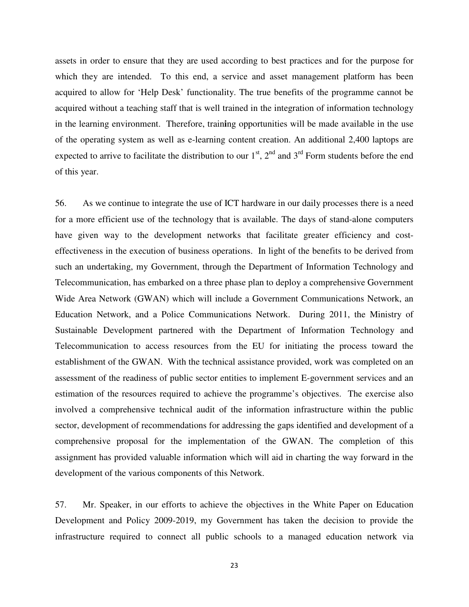assets in order to ensure that they are used according to best practices and for the purpose for which they are intended. To this end, a service and asset management platform has been acquired to allow for 'Help Desk' functionality. The true benefits of the programme cannot be acquired without a teaching staff that is well trained in the integration of information technology in the learning environment. Therefore, train**i**ng opportunities will be made available in the use of the operating system as well as e-learning content creation. An additional 2,400 laptops are expected to arrive to facilitate the distribution to our  $1<sup>st</sup>$ ,  $2<sup>nd</sup>$  and  $3<sup>rd</sup>$  Form students before the end of this year.

56. As we continue to integrate the use of ICT hardware in our daily processes there is a need for a more efficient use of the technology that is available. The days of stand-alone computers have given way to the development networks that facilitate greater efficiency and costeffectiveness in the execution of business operations. In light of the benefits to be derived from such an undertaking, my Government, through the Department of Information Technology and Telecommunication, has embarked on a three phase plan to deploy a comprehensive Government Wide Area Network (GWAN) which will include a Government Communications Network, an Education Network, and a Police Communications Network. During 2011, the Ministry of Sustainable Development partnered with the Department of Information Technology and Telecommunication to access resources from the EU for initiating the process toward the establishment of the GWAN. With the technical assistance provided, work was completed on an assessment of the readiness of public sector entities to implement E-government services and an estimation of the resources required to achieve the programme's objectives. The exercise also involved a comprehensive technical audit of the information infrastructure within the public sector, development of recommendations for addressing the gaps identified and development of a comprehensive proposal for the implementation of the GWAN. The completion of this assignment has provided valuable information which will aid in charting the way forward in the development of the various components of this Network.

57. Mr. Speaker, in our efforts to achieve the objectives in the White Paper on Education Development and Policy 2009-2019, my Government has taken the decision to provide the infrastructure required to connect all public schools to a managed education network via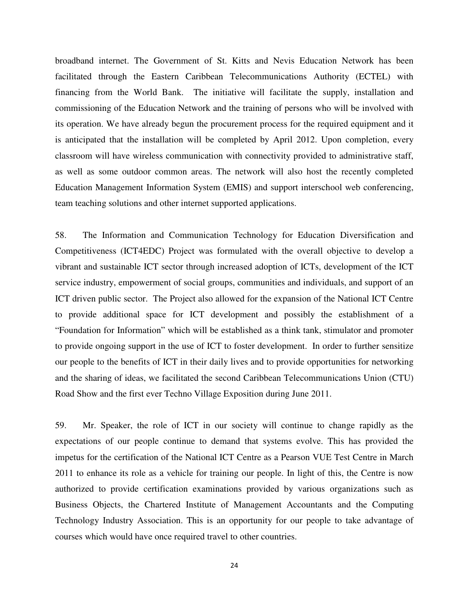broadband internet. The Government of St. Kitts and Nevis Education Network has been facilitated through the Eastern Caribbean Telecommunications Authority (ECTEL) with financing from the World Bank. The initiative will facilitate the supply, installation and commissioning of the Education Network and the training of persons who will be involved with its operation. We have already begun the procurement process for the required equipment and it is anticipated that the installation will be completed by April 2012. Upon completion, every classroom will have wireless communication with connectivity provided to administrative staff, as well as some outdoor common areas. The network will also host the recently completed Education Management Information System (EMIS) and support interschool web conferencing, team teaching solutions and other internet supported applications.

58. The Information and Communication Technology for Education Diversification and Competitiveness (ICT4EDC) Project was formulated with the overall objective to develop a vibrant and sustainable ICT sector through increased adoption of ICTs, development of the ICT service industry, empowerment of social groups, communities and individuals, and support of an ICT driven public sector. The Project also allowed for the expansion of the National ICT Centre to provide additional space for ICT development and possibly the establishment of a "Foundation for Information" which will be established as a think tank, stimulator and promoter to provide ongoing support in the use of ICT to foster development. In order to further sensitize our people to the benefits of ICT in their daily lives and to provide opportunities for networking and the sharing of ideas, we facilitated the second Caribbean Telecommunications Union (CTU) Road Show and the first ever Techno Village Exposition during June 2011.

59. Mr. Speaker, the role of ICT in our society will continue to change rapidly as the expectations of our people continue to demand that systems evolve. This has provided the impetus for the certification of the National ICT Centre as a Pearson VUE Test Centre in March 2011 to enhance its role as a vehicle for training our people. In light of this, the Centre is now authorized to provide certification examinations provided by various organizations such as Business Objects, the Chartered Institute of Management Accountants and the Computing Technology Industry Association. This is an opportunity for our people to take advantage of courses which would have once required travel to other countries.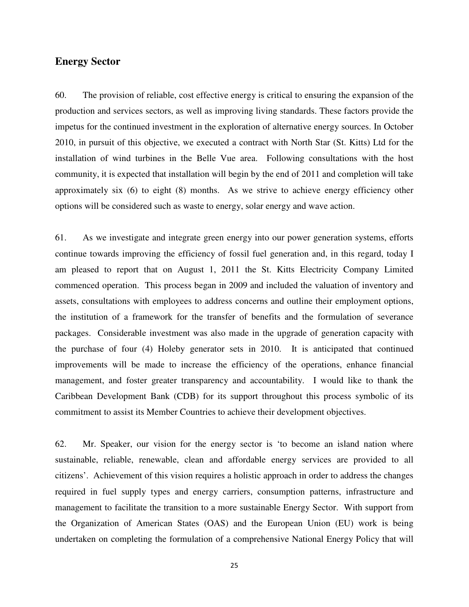#### **Energy Sector**

60. The provision of reliable, cost effective energy is critical to ensuring the expansion of the production and services sectors, as well as improving living standards. These factors provide the impetus for the continued investment in the exploration of alternative energy sources. In October 2010, in pursuit of this objective, we executed a contract with North Star (St. Kitts) Ltd for the installation of wind turbines in the Belle Vue area. Following consultations with the host community, it is expected that installation will begin by the end of 2011 and completion will take approximately six (6) to eight (8) months. As we strive to achieve energy efficiency other options will be considered such as waste to energy, solar energy and wave action.

61. As we investigate and integrate green energy into our power generation systems, efforts continue towards improving the efficiency of fossil fuel generation and, in this regard, today I am pleased to report that on August 1, 2011 the St. Kitts Electricity Company Limited commenced operation. This process began in 2009 and included the valuation of inventory and assets, consultations with employees to address concerns and outline their employment options, the institution of a framework for the transfer of benefits and the formulation of severance packages. Considerable investment was also made in the upgrade of generation capacity with the purchase of four (4) Holeby generator sets in 2010. It is anticipated that continued improvements will be made to increase the efficiency of the operations, enhance financial management, and foster greater transparency and accountability. I would like to thank the Caribbean Development Bank (CDB) for its support throughout this process symbolic of its commitment to assist its Member Countries to achieve their development objectives.

62. Mr. Speaker, our vision for the energy sector is 'to become an island nation where sustainable, reliable, renewable, clean and affordable energy services are provided to all citizens'. Achievement of this vision requires a holistic approach in order to address the changes required in fuel supply types and energy carriers, consumption patterns, infrastructure and management to facilitate the transition to a more sustainable Energy Sector. With support from the Organization of American States (OAS) and the European Union (EU) work is being undertaken on completing the formulation of a comprehensive National Energy Policy that will

25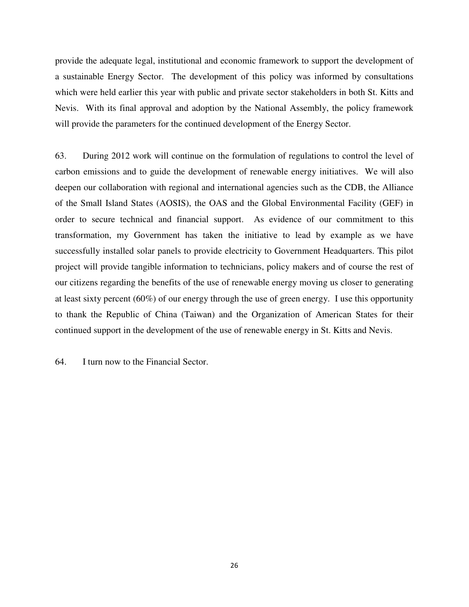provide the adequate legal, institutional and economic framework to support the development of a sustainable Energy Sector. The development of this policy was informed by consultations which were held earlier this year with public and private sector stakeholders in both St. Kitts and Nevis. With its final approval and adoption by the National Assembly, the policy framework will provide the parameters for the continued development of the Energy Sector.

63. During 2012 work will continue on the formulation of regulations to control the level of carbon emissions and to guide the development of renewable energy initiatives. We will also deepen our collaboration with regional and international agencies such as the CDB, the Alliance of the Small Island States (AOSIS), the OAS and the Global Environmental Facility (GEF) in order to secure technical and financial support. As evidence of our commitment to this transformation, my Government has taken the initiative to lead by example as we have successfully installed solar panels to provide electricity to Government Headquarters. This pilot project will provide tangible information to technicians, policy makers and of course the rest of our citizens regarding the benefits of the use of renewable energy moving us closer to generating at least sixty percent (60%) of our energy through the use of green energy. I use this opportunity to thank the Republic of China (Taiwan) and the Organization of American States for their continued support in the development of the use of renewable energy in St. Kitts and Nevis.

64. I turn now to the Financial Sector.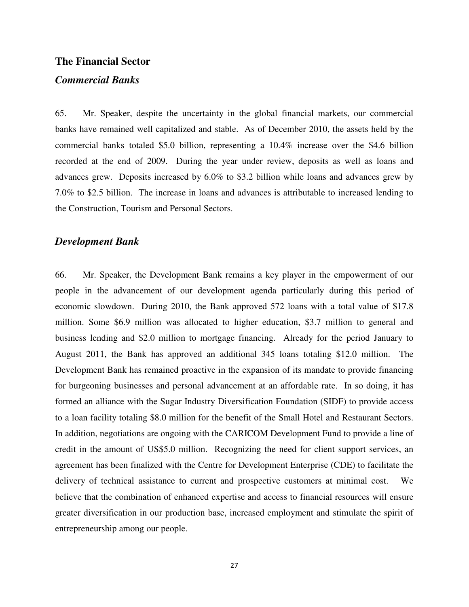#### **The Financial Sector**

#### *Commercial Banks*

65. Mr. Speaker, despite the uncertainty in the global financial markets, our commercial banks have remained well capitalized and stable. As of December 2010, the assets held by the commercial banks totaled \$5.0 billion, representing a 10.4% increase over the \$4.6 billion recorded at the end of 2009. During the year under review, deposits as well as loans and advances grew. Deposits increased by 6.0% to \$3.2 billion while loans and advances grew by 7.0% to \$2.5 billion. The increase in loans and advances is attributable to increased lending to the Construction, Tourism and Personal Sectors.

#### *Development Bank*

66. Mr. Speaker, the Development Bank remains a key player in the empowerment of our people in the advancement of our development agenda particularly during this period of economic slowdown. During 2010, the Bank approved 572 loans with a total value of \$17.8 million. Some \$6.9 million was allocated to higher education, \$3.7 million to general and business lending and \$2.0 million to mortgage financing. Already for the period January to August 2011, the Bank has approved an additional 345 loans totaling \$12.0 million. The Development Bank has remained proactive in the expansion of its mandate to provide financing for burgeoning businesses and personal advancement at an affordable rate. In so doing, it has formed an alliance with the Sugar Industry Diversification Foundation (SIDF) to provide access to a loan facility totaling \$8.0 million for the benefit of the Small Hotel and Restaurant Sectors. In addition, negotiations are ongoing with the CARICOM Development Fund to provide a line of credit in the amount of US\$5.0 million. Recognizing the need for client support services, an agreement has been finalized with the Centre for Development Enterprise (CDE) to facilitate the delivery of technical assistance to current and prospective customers at minimal cost. We believe that the combination of enhanced expertise and access to financial resources will ensure greater diversification in our production base, increased employment and stimulate the spirit of entrepreneurship among our people.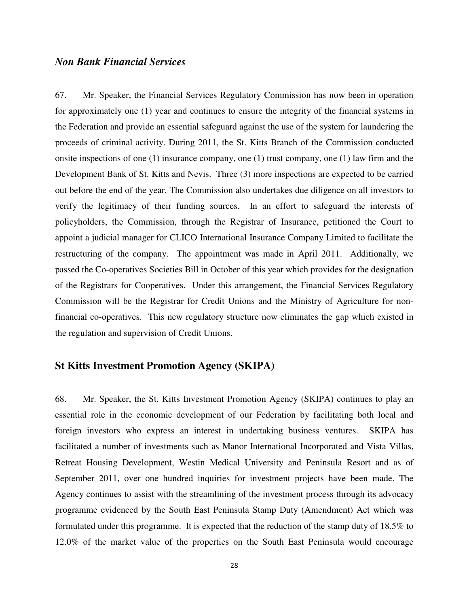#### *Non Bank Financial Services*

67. Mr. Speaker, the Financial Services Regulatory Commission has now been in operation for approximately one (1) year and continues to ensure the integrity of the financial systems in the Federation and provide an essential safeguard against the use of the system for laundering the proceeds of criminal activity. During 2011, the St. Kitts Branch of the Commission conducted onsite inspections of one (1) insurance company, one (1) trust company, one (1) law firm and the Development Bank of St. Kitts and Nevis. Three (3) more inspections are expected to be carried out before the end of the year. The Commission also undertakes due diligence on all investors to verify the legitimacy of their funding sources. In an effort to safeguard the interests of policyholders, the Commission, through the Registrar of Insurance, petitioned the Court to appoint a judicial manager for CLICO International Insurance Company Limited to facilitate the restructuring of the company. The appointment was made in April 2011. Additionally, we passed the Co-operatives Societies Bill in October of this year which provides for the designation of the Registrars for Cooperatives. Under this arrangement, the Financial Services Regulatory Commission will be the Registrar for Credit Unions and the Ministry of Agriculture for nonfinancial co-operatives. This new regulatory structure now eliminates the gap which existed in the regulation and supervision of Credit Unions.

#### **St Kitts Investment Promotion Agency (SKIPA)**

68. Mr. Speaker, the St. Kitts Investment Promotion Agency (SKIPA) continues to play an essential role in the economic development of our Federation by facilitating both local and foreign investors who express an interest in undertaking business ventures. SKIPA has facilitated a number of investments such as Manor International Incorporated and Vista Villas, Retreat Housing Development, Westin Medical University and Peninsula Resort and as of September 2011, over one hundred inquiries for investment projects have been made. The Agency continues to assist with the streamlining of the investment process through its advocacy programme evidenced by the South East Peninsula Stamp Duty (Amendment) Act which was formulated under this programme. It is expected that the reduction of the stamp duty of 18.5% to 12.0% of the market value of the properties on the South East Peninsula would encourage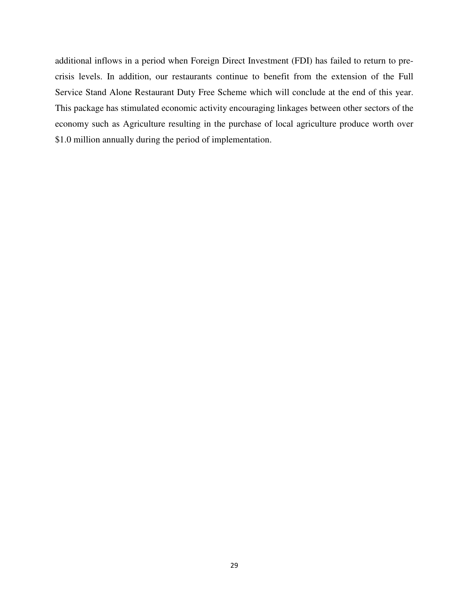additional inflows in a period when Foreign Direct Investment (FDI) has failed to return to precrisis levels. In addition, our restaurants continue to benefit from the extension of the Full Service Stand Alone Restaurant Duty Free Scheme which will conclude at the end of this year. This package has stimulated economic activity encouraging linkages between other sectors of the economy such as Agriculture resulting in the purchase of local agriculture produce worth over \$1.0 million annually during the period of implementation.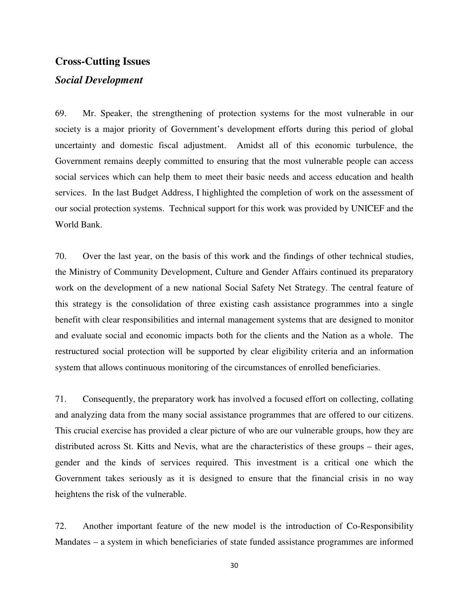#### **Cross-Cutting Issues**

#### *Social Development*

69. Mr. Speaker, the strengthening of protection systems for the most vulnerable in our society is a major priority of Government's development efforts during this period of global uncertainty and domestic fiscal adjustment. Amidst all of this economic turbulence, the Government remains deeply committed to ensuring that the most vulnerable people can access social services which can help them to meet their basic needs and access education and health services. In the last Budget Address, I highlighted the completion of work on the assessment of our social protection systems. Technical support for this work was provided by UNICEF and the World Bank.

70. Over the last year, on the basis of this work and the findings of other technical studies, the Ministry of Community Development, Culture and Gender Affairs continued its preparatory work on the development of a new national Social Safety Net Strategy. The central feature of this strategy is the consolidation of three existing cash assistance programmes into a single benefit with clear responsibilities and internal management systems that are designed to monitor and evaluate social and economic impacts both for the clients and the Nation as a whole. The restructured social protection will be supported by clear eligibility criteria and an information system that allows continuous monitoring of the circumstances of enrolled beneficiaries.

71. Consequently, the preparatory work has involved a focused effort on collecting, collating and analyzing data from the many social assistance programmes that are offered to our citizens. This crucial exercise has provided a clear picture of who are our vulnerable groups, how they are distributed across St. Kitts and Nevis, what are the characteristics of these groups – their ages, gender and the kinds of services required. This investment is a critical one which the Government takes seriously as it is designed to ensure that the financial crisis in no way heightens the risk of the vulnerable.

72. Another important feature of the new model is the introduction of Co-Responsibility Mandates – a system in which beneficiaries of state funded assistance programmes are informed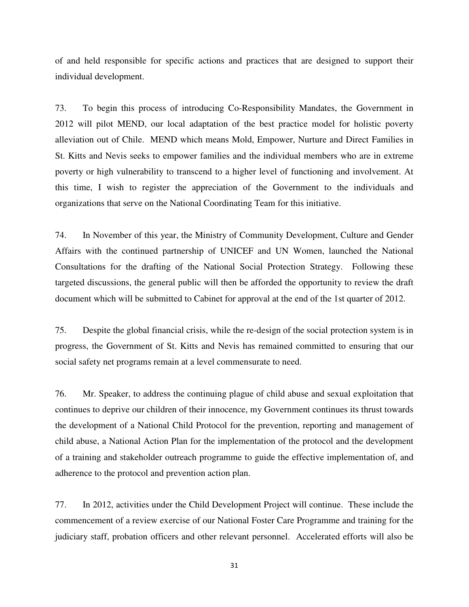of and held responsible for specific actions and practices that are designed to support their individual development.

73. To begin this process of introducing Co-Responsibility Mandates, the Government in 2012 will pilot MEND, our local adaptation of the best practice model for holistic poverty alleviation out of Chile. MEND which means Mold, Empower, Nurture and Direct Families in St. Kitts and Nevis seeks to empower families and the individual members who are in extreme poverty or high vulnerability to transcend to a higher level of functioning and involvement. At this time, I wish to register the appreciation of the Government to the individuals and organizations that serve on the National Coordinating Team for this initiative.

74. In November of this year, the Ministry of Community Development, Culture and Gender Affairs with the continued partnership of UNICEF and UN Women, launched the National Consultations for the drafting of the National Social Protection Strategy. Following these targeted discussions, the general public will then be afforded the opportunity to review the draft document which will be submitted to Cabinet for approval at the end of the 1st quarter of 2012.

75. Despite the global financial crisis, while the re-design of the social protection system is in progress, the Government of St. Kitts and Nevis has remained committed to ensuring that our social safety net programs remain at a level commensurate to need.

76. Mr. Speaker, to address the continuing plague of child abuse and sexual exploitation that continues to deprive our children of their innocence, my Government continues its thrust towards the development of a National Child Protocol for the prevention, reporting and management of child abuse, a National Action Plan for the implementation of the protocol and the development of a training and stakeholder outreach programme to guide the effective implementation of, and adherence to the protocol and prevention action plan.

77. In 2012, activities under the Child Development Project will continue. These include the commencement of a review exercise of our National Foster Care Programme and training for the judiciary staff, probation officers and other relevant personnel. Accelerated efforts will also be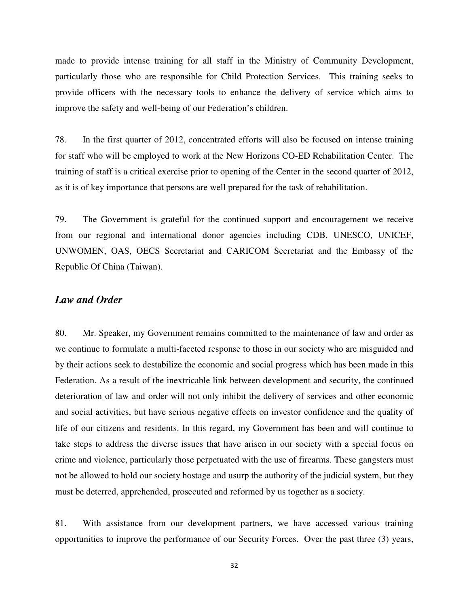made to provide intense training for all staff in the Ministry of Community Development, particularly those who are responsible for Child Protection Services. This training seeks to provide officers with the necessary tools to enhance the delivery of service which aims to improve the safety and well-being of our Federation's children.

78. In the first quarter of 2012, concentrated efforts will also be focused on intense training for staff who will be employed to work at the New Horizons CO-ED Rehabilitation Center. The training of staff is a critical exercise prior to opening of the Center in the second quarter of 2012, as it is of key importance that persons are well prepared for the task of rehabilitation.

79. The Government is grateful for the continued support and encouragement we receive from our regional and international donor agencies including CDB, UNESCO, UNICEF, UNWOMEN, OAS, OECS Secretariat and CARICOM Secretariat and the Embassy of the Republic Of China (Taiwan).

#### *Law and Order*

80. Mr. Speaker, my Government remains committed to the maintenance of law and order as we continue to formulate a multi-faceted response to those in our society who are misguided and by their actions seek to destabilize the economic and social progress which has been made in this Federation. As a result of the inextricable link between development and security, the continued deterioration of law and order will not only inhibit the delivery of services and other economic and social activities, but have serious negative effects on investor confidence and the quality of life of our citizens and residents. In this regard, my Government has been and will continue to take steps to address the diverse issues that have arisen in our society with a special focus on crime and violence, particularly those perpetuated with the use of firearms. These gangsters must not be allowed to hold our society hostage and usurp the authority of the judicial system, but they must be deterred, apprehended, prosecuted and reformed by us together as a society.

81. With assistance from our development partners, we have accessed various training opportunities to improve the performance of our Security Forces. Over the past three (3) years,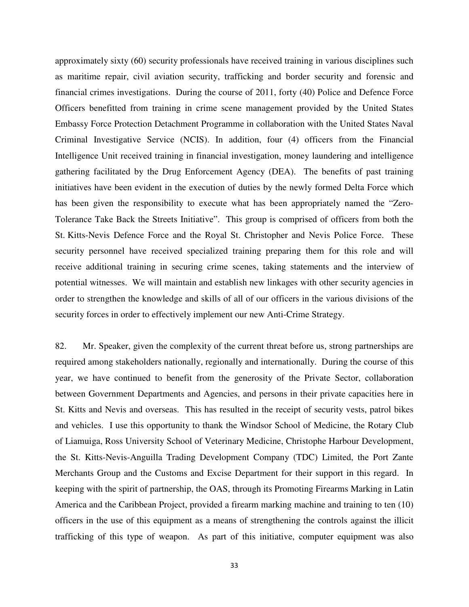approximately sixty (60) security professionals have received training in various disciplines such as maritime repair, civil aviation security, trafficking and border security and forensic and financial crimes investigations. During the course of 2011, forty (40) Police and Defence Force Officers benefitted from training in crime scene management provided by the United States Embassy Force Protection Detachment Programme in collaboration with the United States Naval Criminal Investigative Service (NCIS). In addition, four (4) officers from the Financial Intelligence Unit received training in financial investigation, money laundering and intelligence gathering facilitated by the Drug Enforcement Agency (DEA). The benefits of past training initiatives have been evident in the execution of duties by the newly formed Delta Force which has been given the responsibility to execute what has been appropriately named the "Zero-Tolerance Take Back the Streets Initiative". This group is comprised of officers from both the St. Kitts-Nevis Defence Force and the Royal St. Christopher and Nevis Police Force. These security personnel have received specialized training preparing them for this role and will receive additional training in securing crime scenes, taking statements and the interview of potential witnesses. We will maintain and establish new linkages with other security agencies in order to strengthen the knowledge and skills of all of our officers in the various divisions of the security forces in order to effectively implement our new Anti-Crime Strategy.

82. Mr. Speaker, given the complexity of the current threat before us, strong partnerships are required among stakeholders nationally, regionally and internationally. During the course of this year, we have continued to benefit from the generosity of the Private Sector, collaboration between Government Departments and Agencies, and persons in their private capacities here in St. Kitts and Nevis and overseas. This has resulted in the receipt of security vests, patrol bikes and vehicles. I use this opportunity to thank the Windsor School of Medicine, the Rotary Club of Liamuiga, Ross University School of Veterinary Medicine, Christophe Harbour Development, the St. Kitts-Nevis-Anguilla Trading Development Company (TDC) Limited, the Port Zante Merchants Group and the Customs and Excise Department for their support in this regard. In keeping with the spirit of partnership, the OAS, through its Promoting Firearms Marking in Latin America and the Caribbean Project, provided a firearm marking machine and training to ten (10) officers in the use of this equipment as a means of strengthening the controls against the illicit trafficking of this type of weapon. As part of this initiative, computer equipment was also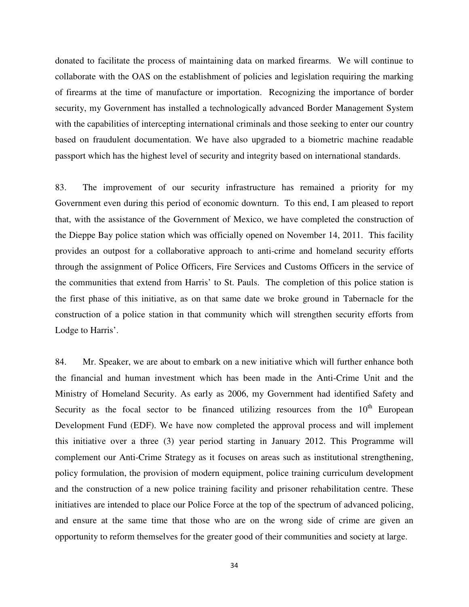donated to facilitate the process of maintaining data on marked firearms. We will continue to collaborate with the OAS on the establishment of policies and legislation requiring the marking of firearms at the time of manufacture or importation. Recognizing the importance of border security, my Government has installed a technologically advanced Border Management System with the capabilities of intercepting international criminals and those seeking to enter our country based on fraudulent documentation. We have also upgraded to a biometric machine readable passport which has the highest level of security and integrity based on international standards.

83. The improvement of our security infrastructure has remained a priority for my Government even during this period of economic downturn. To this end, I am pleased to report that, with the assistance of the Government of Mexico, we have completed the construction of the Dieppe Bay police station which was officially opened on November 14, 2011. This facility provides an outpost for a collaborative approach to anti-crime and homeland security efforts through the assignment of Police Officers, Fire Services and Customs Officers in the service of the communities that extend from Harris' to St. Pauls. The completion of this police station is the first phase of this initiative, as on that same date we broke ground in Tabernacle for the construction of a police station in that community which will strengthen security efforts from Lodge to Harris'.

84. Mr. Speaker, we are about to embark on a new initiative which will further enhance both the financial and human investment which has been made in the Anti-Crime Unit and the Ministry of Homeland Security. As early as 2006, my Government had identified Safety and Security as the focal sector to be financed utilizing resources from the  $10<sup>th</sup>$  European Development Fund (EDF). We have now completed the approval process and will implement this initiative over a three (3) year period starting in January 2012. This Programme will complement our Anti-Crime Strategy as it focuses on areas such as institutional strengthening, policy formulation, the provision of modern equipment, police training curriculum development and the construction of a new police training facility and prisoner rehabilitation centre. These initiatives are intended to place our Police Force at the top of the spectrum of advanced policing, and ensure at the same time that those who are on the wrong side of crime are given an opportunity to reform themselves for the greater good of their communities and society at large.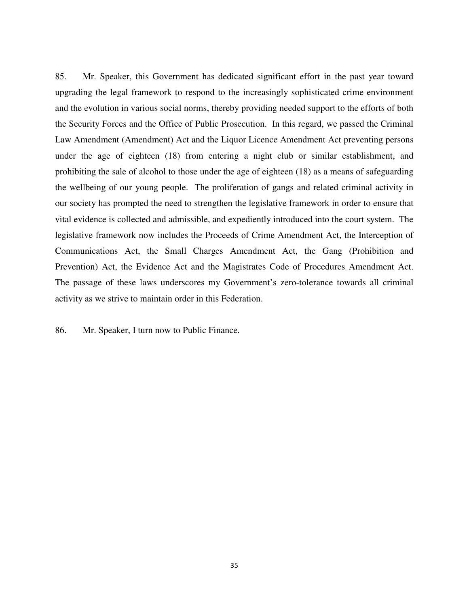85. Mr. Speaker, this Government has dedicated significant effort in the past year toward upgrading the legal framework to respond to the increasingly sophisticated crime environment and the evolution in various social norms, thereby providing needed support to the efforts of both the Security Forces and the Office of Public Prosecution. In this regard, we passed the Criminal Law Amendment (Amendment) Act and the Liquor Licence Amendment Act preventing persons under the age of eighteen (18) from entering a night club or similar establishment, and prohibiting the sale of alcohol to those under the age of eighteen (18) as a means of safeguarding the wellbeing of our young people. The proliferation of gangs and related criminal activity in our society has prompted the need to strengthen the legislative framework in order to ensure that vital evidence is collected and admissible, and expediently introduced into the court system. The legislative framework now includes the Proceeds of Crime Amendment Act, the Interception of Communications Act, the Small Charges Amendment Act, the Gang (Prohibition and Prevention) Act, the Evidence Act and the Magistrates Code of Procedures Amendment Act. The passage of these laws underscores my Government's zero-tolerance towards all criminal activity as we strive to maintain order in this Federation.

86. Mr. Speaker, I turn now to Public Finance.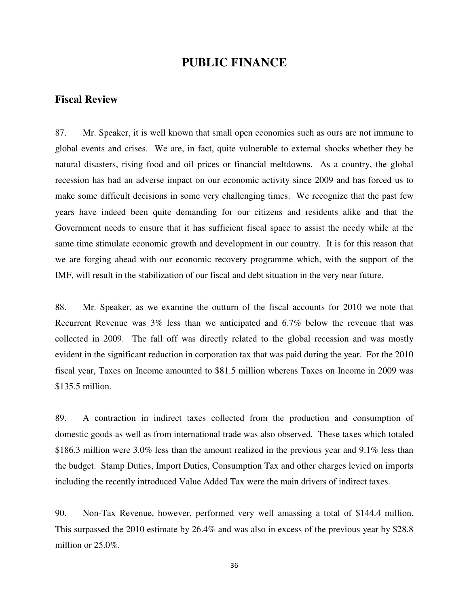#### **PUBLIC FINANCE**

#### **Fiscal Review**

87. Mr. Speaker, it is well known that small open economies such as ours are not immune to global events and crises. We are, in fact, quite vulnerable to external shocks whether they be natural disasters, rising food and oil prices or financial meltdowns. As a country, the global recession has had an adverse impact on our economic activity since 2009 and has forced us to make some difficult decisions in some very challenging times. We recognize that the past few years have indeed been quite demanding for our citizens and residents alike and that the Government needs to ensure that it has sufficient fiscal space to assist the needy while at the same time stimulate economic growth and development in our country. It is for this reason that we are forging ahead with our economic recovery programme which, with the support of the IMF, will result in the stabilization of our fiscal and debt situation in the very near future.

88. Mr. Speaker, as we examine the outturn of the fiscal accounts for 2010 we note that Recurrent Revenue was 3% less than we anticipated and 6.7% below the revenue that was collected in 2009. The fall off was directly related to the global recession and was mostly evident in the significant reduction in corporation tax that was paid during the year. For the 2010 fiscal year, Taxes on Income amounted to \$81.5 million whereas Taxes on Income in 2009 was \$135.5 million.

89. A contraction in indirect taxes collected from the production and consumption of domestic goods as well as from international trade was also observed. These taxes which totaled \$186.3 million were 3.0% less than the amount realized in the previous year and 9.1% less than the budget. Stamp Duties, Import Duties, Consumption Tax and other charges levied on imports including the recently introduced Value Added Tax were the main drivers of indirect taxes.

90. Non-Tax Revenue, however, performed very well amassing a total of \$144.4 million. This surpassed the 2010 estimate by 26.4% and was also in excess of the previous year by \$28.8 million or 25.0%.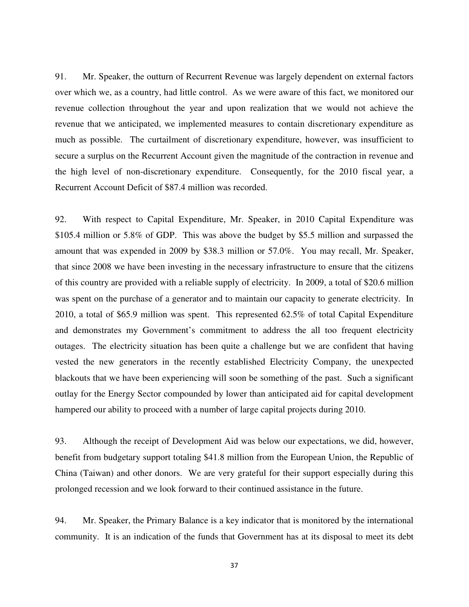91. Mr. Speaker, the outturn of Recurrent Revenue was largely dependent on external factors over which we, as a country, had little control. As we were aware of this fact, we monitored our revenue collection throughout the year and upon realization that we would not achieve the revenue that we anticipated, we implemented measures to contain discretionary expenditure as much as possible. The curtailment of discretionary expenditure, however, was insufficient to secure a surplus on the Recurrent Account given the magnitude of the contraction in revenue and the high level of non-discretionary expenditure. Consequently, for the 2010 fiscal year, a Recurrent Account Deficit of \$87.4 million was recorded.

92. With respect to Capital Expenditure, Mr. Speaker, in 2010 Capital Expenditure was \$105.4 million or 5.8% of GDP. This was above the budget by \$5.5 million and surpassed the amount that was expended in 2009 by \$38.3 million or 57.0%. You may recall, Mr. Speaker, that since 2008 we have been investing in the necessary infrastructure to ensure that the citizens of this country are provided with a reliable supply of electricity. In 2009, a total of \$20.6 million was spent on the purchase of a generator and to maintain our capacity to generate electricity. In 2010, a total of \$65.9 million was spent. This represented 62.5% of total Capital Expenditure and demonstrates my Government's commitment to address the all too frequent electricity outages. The electricity situation has been quite a challenge but we are confident that having vested the new generators in the recently established Electricity Company, the unexpected blackouts that we have been experiencing will soon be something of the past. Such a significant outlay for the Energy Sector compounded by lower than anticipated aid for capital development hampered our ability to proceed with a number of large capital projects during 2010.

93. Although the receipt of Development Aid was below our expectations, we did, however, benefit from budgetary support totaling \$41.8 million from the European Union, the Republic of China (Taiwan) and other donors. We are very grateful for their support especially during this prolonged recession and we look forward to their continued assistance in the future.

94. Mr. Speaker, the Primary Balance is a key indicator that is monitored by the international community. It is an indication of the funds that Government has at its disposal to meet its debt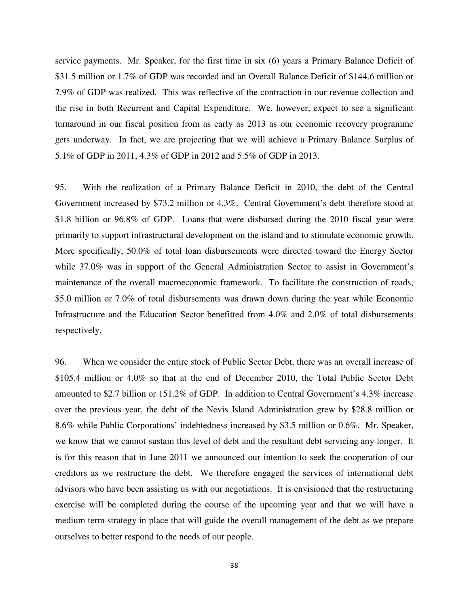service payments. Mr. Speaker, for the first time in six (6) years a Primary Balance Deficit of \$31.5 million or 1.7% of GDP was recorded and an Overall Balance Deficit of \$144.6 million or 7.9% of GDP was realized. This was reflective of the contraction in our revenue collection and the rise in both Recurrent and Capital Expenditure. We, however, expect to see a significant turnaround in our fiscal position from as early as 2013 as our economic recovery programme gets underway. In fact, we are projecting that we will achieve a Primary Balance Surplus of 5.1% of GDP in 2011, 4.3% of GDP in 2012 and 5.5% of GDP in 2013.

95. With the realization of a Primary Balance Deficit in 2010, the debt of the Central Government increased by \$73.2 million or 4.3%. Central Government's debt therefore stood at \$1.8 billion or 96.8% of GDP. Loans that were disbursed during the 2010 fiscal year were primarily to support infrastructural development on the island and to stimulate economic growth. More specifically, 50.0% of total loan disbursements were directed toward the Energy Sector while 37.0% was in support of the General Administration Sector to assist in Government's maintenance of the overall macroeconomic framework. To facilitate the construction of roads, \$5.0 million or 7.0% of total disbursements was drawn down during the year while Economic Infrastructure and the Education Sector benefitted from 4.0% and 2.0% of total disbursements respectively.

96. When we consider the entire stock of Public Sector Debt, there was an overall increase of \$105.4 million or 4.0% so that at the end of December 2010, the Total Public Sector Debt amounted to \$2.7 billion or 151.2% of GDP. In addition to Central Government's 4.3% increase over the previous year, the debt of the Nevis Island Administration grew by \$28.8 million or 8.6% while Public Corporations' indebtedness increased by \$3.5 million or 0.6%. Mr. Speaker, we know that we cannot sustain this level of debt and the resultant debt servicing any longer. It is for this reason that in June 2011 we announced our intention to seek the cooperation of our creditors as we restructure the debt. We therefore engaged the services of international debt advisors who have been assisting us with our negotiations. It is envisioned that the restructuring exercise will be completed during the course of the upcoming year and that we will have a medium term strategy in place that will guide the overall management of the debt as we prepare ourselves to better respond to the needs of our people.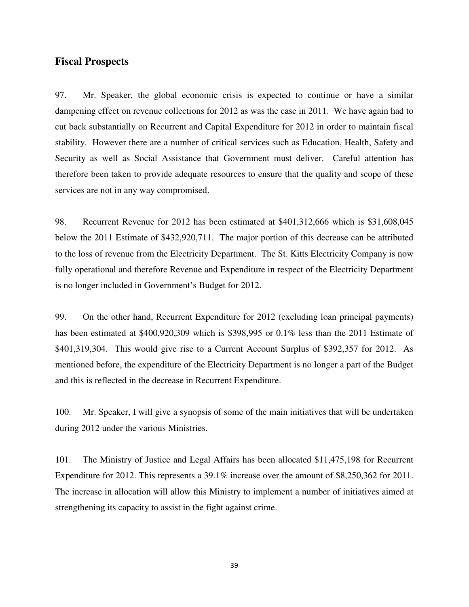#### **Fiscal Prospects**

97. Mr. Speaker, the global economic crisis is expected to continue or have a similar dampening effect on revenue collections for 2012 as was the case in 2011. We have again had to cut back substantially on Recurrent and Capital Expenditure for 2012 in order to maintain fiscal stability. However there are a number of critical services such as Education, Health, Safety and Security as well as Social Assistance that Government must deliver. Careful attention has therefore been taken to provide adequate resources to ensure that the quality and scope of these services are not in any way compromised.

98. Recurrent Revenue for 2012 has been estimated at \$401,312,666 which is \$31,608,045 below the 2011 Estimate of \$432,920,711. The major portion of this decrease can be attributed to the loss of revenue from the Electricity Department. The St. Kitts Electricity Company is now fully operational and therefore Revenue and Expenditure in respect of the Electricity Department is no longer included in Government's Budget for 2012.

99. On the other hand, Recurrent Expenditure for 2012 (excluding loan principal payments) has been estimated at \$400,920,309 which is \$398,995 or 0.1% less than the 2011 Estimate of \$401,319,304. This would give rise to a Current Account Surplus of \$392,357 for 2012. As mentioned before, the expenditure of the Electricity Department is no longer a part of the Budget and this is reflected in the decrease in Recurrent Expenditure.

100. Mr. Speaker, I will give a synopsis of some of the main initiatives that will be undertaken during 2012 under the various Ministries.

101. The Ministry of Justice and Legal Affairs has been allocated \$11,475,198 for Recurrent Expenditure for 2012. This represents a 39.1% increase over the amount of \$8,250,362 for 2011. The increase in allocation will allow this Ministry to implement a number of initiatives aimed at strengthening its capacity to assist in the fight against crime.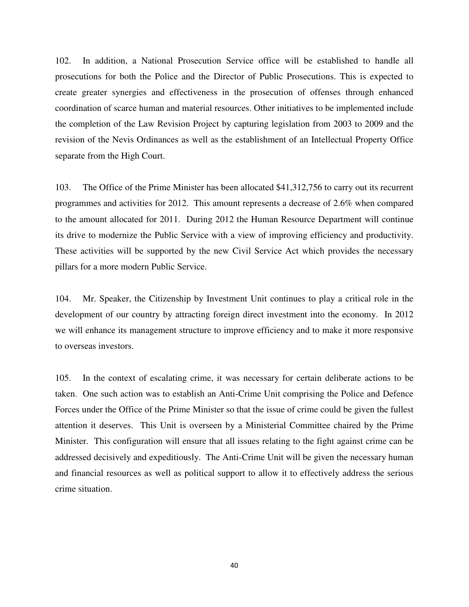102. In addition, a National Prosecution Service office will be established to handle all prosecutions for both the Police and the Director of Public Prosecutions. This is expected to create greater synergies and effectiveness in the prosecution of offenses through enhanced coordination of scarce human and material resources. Other initiatives to be implemented include the completion of the Law Revision Project by capturing legislation from 2003 to 2009 and the revision of the Nevis Ordinances as well as the establishment of an Intellectual Property Office separate from the High Court.

103. The Office of the Prime Minister has been allocated \$41,312,756 to carry out its recurrent programmes and activities for 2012. This amount represents a decrease of 2.6% when compared to the amount allocated for 2011. During 2012 the Human Resource Department will continue its drive to modernize the Public Service with a view of improving efficiency and productivity. These activities will be supported by the new Civil Service Act which provides the necessary pillars for a more modern Public Service.

104. Mr. Speaker, the Citizenship by Investment Unit continues to play a critical role in the development of our country by attracting foreign direct investment into the economy. In 2012 we will enhance its management structure to improve efficiency and to make it more responsive to overseas investors.

105. In the context of escalating crime, it was necessary for certain deliberate actions to be taken. One such action was to establish an Anti-Crime Unit comprising the Police and Defence Forces under the Office of the Prime Minister so that the issue of crime could be given the fullest attention it deserves. This Unit is overseen by a Ministerial Committee chaired by the Prime Minister. This configuration will ensure that all issues relating to the fight against crime can be addressed decisively and expeditiously. The Anti-Crime Unit will be given the necessary human and financial resources as well as political support to allow it to effectively address the serious crime situation.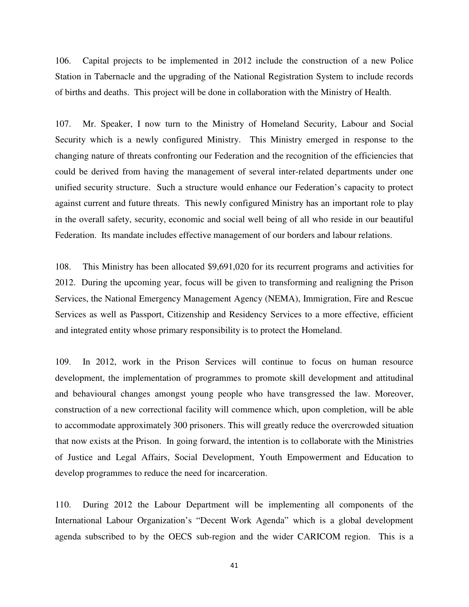106. Capital projects to be implemented in 2012 include the construction of a new Police Station in Tabernacle and the upgrading of the National Registration System to include records of births and deaths. This project will be done in collaboration with the Ministry of Health.

107. Mr. Speaker, I now turn to the Ministry of Homeland Security, Labour and Social Security which is a newly configured Ministry. This Ministry emerged in response to the changing nature of threats confronting our Federation and the recognition of the efficiencies that could be derived from having the management of several inter-related departments under one unified security structure. Such a structure would enhance our Federation's capacity to protect against current and future threats. This newly configured Ministry has an important role to play in the overall safety, security, economic and social well being of all who reside in our beautiful Federation. Its mandate includes effective management of our borders and labour relations.

108. This Ministry has been allocated \$9,691,020 for its recurrent programs and activities for 2012. During the upcoming year, focus will be given to transforming and realigning the Prison Services, the National Emergency Management Agency (NEMA), Immigration, Fire and Rescue Services as well as Passport, Citizenship and Residency Services to a more effective, efficient and integrated entity whose primary responsibility is to protect the Homeland.

109. In 2012, work in the Prison Services will continue to focus on human resource development, the implementation of programmes to promote skill development and attitudinal and behavioural changes amongst young people who have transgressed the law. Moreover, construction of a new correctional facility will commence which, upon completion, will be able to accommodate approximately 300 prisoners. This will greatly reduce the overcrowded situation that now exists at the Prison. In going forward, the intention is to collaborate with the Ministries of Justice and Legal Affairs, Social Development, Youth Empowerment and Education to develop programmes to reduce the need for incarceration.

110. During 2012 the Labour Department will be implementing all components of the International Labour Organization's "Decent Work Agenda" which is a global development agenda subscribed to by the OECS sub-region and the wider CARICOM region. This is a

41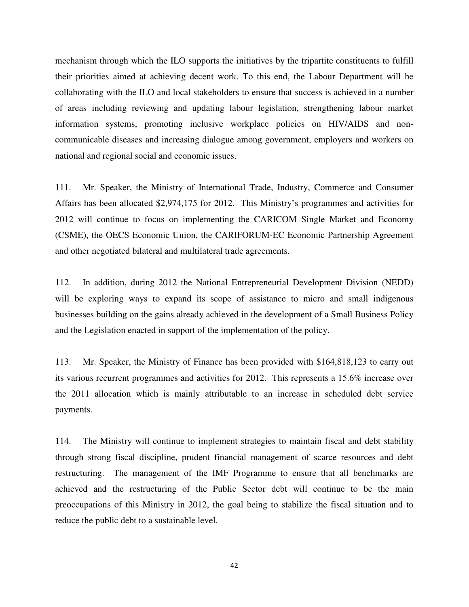mechanism through which the ILO supports the initiatives by the tripartite constituents to fulfill their priorities aimed at achieving decent work. To this end, the Labour Department will be collaborating with the ILO and local stakeholders to ensure that success is achieved in a number of areas including reviewing and updating labour legislation, strengthening labour market information systems, promoting inclusive workplace policies on HIV/AIDS and noncommunicable diseases and increasing dialogue among government, employers and workers on national and regional social and economic issues.

111. Mr. Speaker, the Ministry of International Trade, Industry, Commerce and Consumer Affairs has been allocated \$2,974,175 for 2012. This Ministry's programmes and activities for 2012 will continue to focus on implementing the CARICOM Single Market and Economy (CSME), the OECS Economic Union, the CARIFORUM-EC Economic Partnership Agreement and other negotiated bilateral and multilateral trade agreements.

112. In addition, during 2012 the National Entrepreneurial Development Division (NEDD) will be exploring ways to expand its scope of assistance to micro and small indigenous businesses building on the gains already achieved in the development of a Small Business Policy and the Legislation enacted in support of the implementation of the policy.

113. Mr. Speaker, the Ministry of Finance has been provided with \$164,818,123 to carry out its various recurrent programmes and activities for 2012. This represents a 15.6% increase over the 2011 allocation which is mainly attributable to an increase in scheduled debt service payments.

114. The Ministry will continue to implement strategies to maintain fiscal and debt stability through strong fiscal discipline, prudent financial management of scarce resources and debt restructuring. The management of the IMF Programme to ensure that all benchmarks are achieved and the restructuring of the Public Sector debt will continue to be the main preoccupations of this Ministry in 2012, the goal being to stabilize the fiscal situation and to reduce the public debt to a sustainable level.

42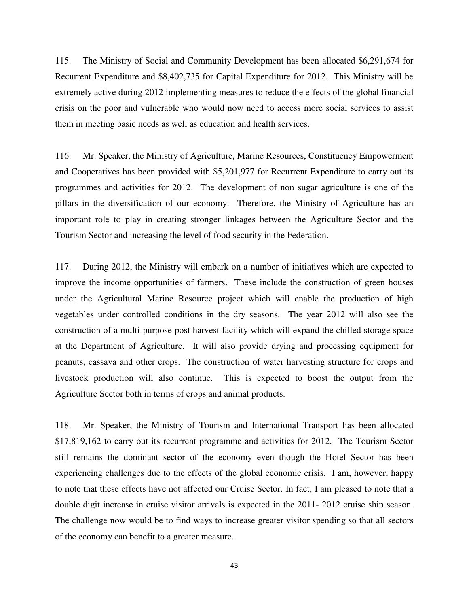115. The Ministry of Social and Community Development has been allocated \$6,291,674 for Recurrent Expenditure and \$8,402,735 for Capital Expenditure for 2012. This Ministry will be extremely active during 2012 implementing measures to reduce the effects of the global financial crisis on the poor and vulnerable who would now need to access more social services to assist them in meeting basic needs as well as education and health services.

116. Mr. Speaker, the Ministry of Agriculture, Marine Resources, Constituency Empowerment and Cooperatives has been provided with \$5,201,977 for Recurrent Expenditure to carry out its programmes and activities for 2012. The development of non sugar agriculture is one of the pillars in the diversification of our economy. Therefore, the Ministry of Agriculture has an important role to play in creating stronger linkages between the Agriculture Sector and the Tourism Sector and increasing the level of food security in the Federation.

117. During 2012, the Ministry will embark on a number of initiatives which are expected to improve the income opportunities of farmers. These include the construction of green houses under the Agricultural Marine Resource project which will enable the production of high vegetables under controlled conditions in the dry seasons. The year 2012 will also see the construction of a multi-purpose post harvest facility which will expand the chilled storage space at the Department of Agriculture. It will also provide drying and processing equipment for peanuts, cassava and other crops. The construction of water harvesting structure for crops and livestock production will also continue. This is expected to boost the output from the Agriculture Sector both in terms of crops and animal products.

118. Mr. Speaker, the Ministry of Tourism and International Transport has been allocated \$17,819,162 to carry out its recurrent programme and activities for 2012. The Tourism Sector still remains the dominant sector of the economy even though the Hotel Sector has been experiencing challenges due to the effects of the global economic crisis. I am, however, happy to note that these effects have not affected our Cruise Sector. In fact, I am pleased to note that a double digit increase in cruise visitor arrivals is expected in the 2011- 2012 cruise ship season. The challenge now would be to find ways to increase greater visitor spending so that all sectors of the economy can benefit to a greater measure.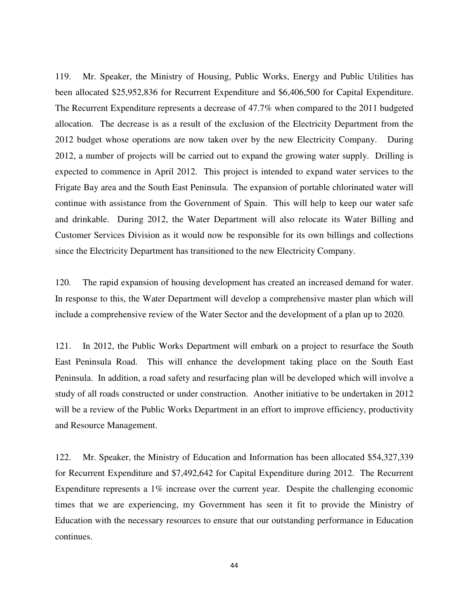119. Mr. Speaker, the Ministry of Housing, Public Works, Energy and Public Utilities has been allocated \$25,952,836 for Recurrent Expenditure and \$6,406,500 for Capital Expenditure. The Recurrent Expenditure represents a decrease of 47.7% when compared to the 2011 budgeted allocation. The decrease is as a result of the exclusion of the Electricity Department from the 2012 budget whose operations are now taken over by the new Electricity Company. During 2012, a number of projects will be carried out to expand the growing water supply. Drilling is expected to commence in April 2012. This project is intended to expand water services to the Frigate Bay area and the South East Peninsula. The expansion of portable chlorinated water will continue with assistance from the Government of Spain. This will help to keep our water safe and drinkable. During 2012, the Water Department will also relocate its Water Billing and Customer Services Division as it would now be responsible for its own billings and collections since the Electricity Department has transitioned to the new Electricity Company.

120. The rapid expansion of housing development has created an increased demand for water. In response to this, the Water Department will develop a comprehensive master plan which will include a comprehensive review of the Water Sector and the development of a plan up to 2020.

121. In 2012, the Public Works Department will embark on a project to resurface the South East Peninsula Road. This will enhance the development taking place on the South East Peninsula. In addition, a road safety and resurfacing plan will be developed which will involve a study of all roads constructed or under construction. Another initiative to be undertaken in 2012 will be a review of the Public Works Department in an effort to improve efficiency, productivity and Resource Management.

122. Mr. Speaker, the Ministry of Education and Information has been allocated \$54,327,339 for Recurrent Expenditure and \$7,492,642 for Capital Expenditure during 2012. The Recurrent Expenditure represents a 1% increase over the current year. Despite the challenging economic times that we are experiencing, my Government has seen it fit to provide the Ministry of Education with the necessary resources to ensure that our outstanding performance in Education continues.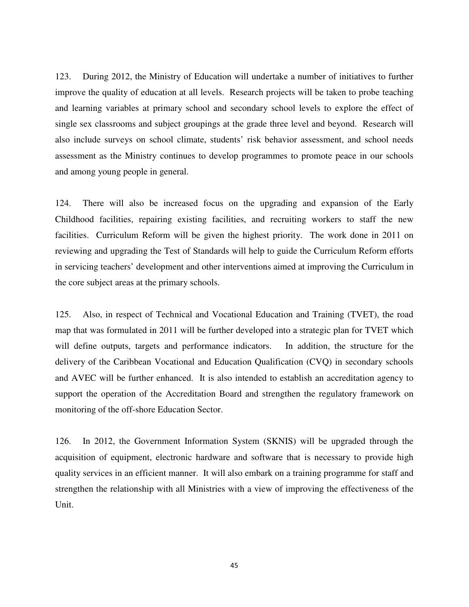123. During 2012, the Ministry of Education will undertake a number of initiatives to further improve the quality of education at all levels. Research projects will be taken to probe teaching and learning variables at primary school and secondary school levels to explore the effect of single sex classrooms and subject groupings at the grade three level and beyond. Research will also include surveys on school climate, students' risk behavior assessment, and school needs assessment as the Ministry continues to develop programmes to promote peace in our schools and among young people in general.

124. There will also be increased focus on the upgrading and expansion of the Early Childhood facilities, repairing existing facilities, and recruiting workers to staff the new facilities. Curriculum Reform will be given the highest priority. The work done in 2011 on reviewing and upgrading the Test of Standards will help to guide the Curriculum Reform efforts in servicing teachers' development and other interventions aimed at improving the Curriculum in the core subject areas at the primary schools.

125. Also, in respect of Technical and Vocational Education and Training (TVET), the road map that was formulated in 2011 will be further developed into a strategic plan for TVET which will define outputs, targets and performance indicators. In addition, the structure for the delivery of the Caribbean Vocational and Education Qualification (CVQ) in secondary schools and AVEC will be further enhanced. It is also intended to establish an accreditation agency to support the operation of the Accreditation Board and strengthen the regulatory framework on monitoring of the off-shore Education Sector.

126. In 2012, the Government Information System (SKNIS) will be upgraded through the acquisition of equipment, electronic hardware and software that is necessary to provide high quality services in an efficient manner. It will also embark on a training programme for staff and strengthen the relationship with all Ministries with a view of improving the effectiveness of the Unit.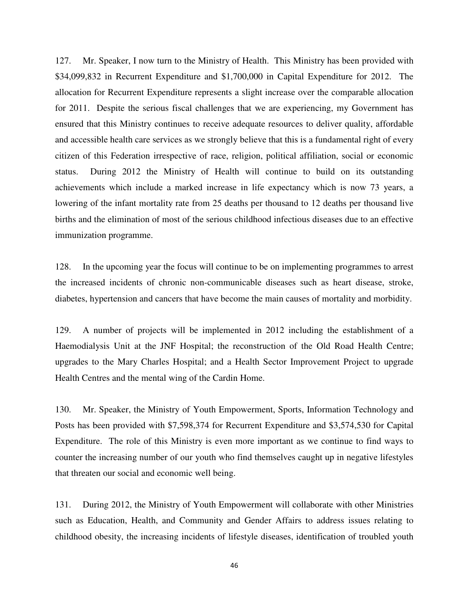127. Mr. Speaker, I now turn to the Ministry of Health. This Ministry has been provided with \$34,099,832 in Recurrent Expenditure and \$1,700,000 in Capital Expenditure for 2012. The allocation for Recurrent Expenditure represents a slight increase over the comparable allocation for 2011. Despite the serious fiscal challenges that we are experiencing, my Government has ensured that this Ministry continues to receive adequate resources to deliver quality, affordable and accessible health care services as we strongly believe that this is a fundamental right of every citizen of this Federation irrespective of race, religion, political affiliation, social or economic status. During 2012 the Ministry of Health will continue to build on its outstanding achievements which include a marked increase in life expectancy which is now 73 years, a lowering of the infant mortality rate from 25 deaths per thousand to 12 deaths per thousand live births and the elimination of most of the serious childhood infectious diseases due to an effective immunization programme.

128. In the upcoming year the focus will continue to be on implementing programmes to arrest the increased incidents of chronic non-communicable diseases such as heart disease, stroke, diabetes, hypertension and cancers that have become the main causes of mortality and morbidity.

129. A number of projects will be implemented in 2012 including the establishment of a Haemodialysis Unit at the JNF Hospital; the reconstruction of the Old Road Health Centre; upgrades to the Mary Charles Hospital; and a Health Sector Improvement Project to upgrade Health Centres and the mental wing of the Cardin Home.

130. Mr. Speaker, the Ministry of Youth Empowerment, Sports, Information Technology and Posts has been provided with \$7,598,374 for Recurrent Expenditure and \$3,574,530 for Capital Expenditure. The role of this Ministry is even more important as we continue to find ways to counter the increasing number of our youth who find themselves caught up in negative lifestyles that threaten our social and economic well being.

131. During 2012, the Ministry of Youth Empowerment will collaborate with other Ministries such as Education, Health, and Community and Gender Affairs to address issues relating to childhood obesity, the increasing incidents of lifestyle diseases, identification of troubled youth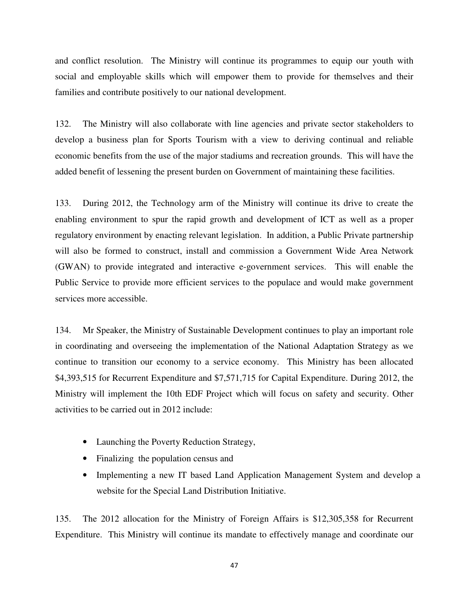and conflict resolution. The Ministry will continue its programmes to equip our youth with social and employable skills which will empower them to provide for themselves and their families and contribute positively to our national development.

132. The Ministry will also collaborate with line agencies and private sector stakeholders to develop a business plan for Sports Tourism with a view to deriving continual and reliable economic benefits from the use of the major stadiums and recreation grounds. This will have the added benefit of lessening the present burden on Government of maintaining these facilities.

133. During 2012, the Technology arm of the Ministry will continue its drive to create the enabling environment to spur the rapid growth and development of ICT as well as a proper regulatory environment by enacting relevant legislation. In addition, a Public Private partnership will also be formed to construct, install and commission a Government Wide Area Network (GWAN) to provide integrated and interactive e-government services. This will enable the Public Service to provide more efficient services to the populace and would make government services more accessible.

134. Mr Speaker, the Ministry of Sustainable Development continues to play an important role in coordinating and overseeing the implementation of the National Adaptation Strategy as we continue to transition our economy to a service economy. This Ministry has been allocated \$4,393,515 for Recurrent Expenditure and \$7,571,715 for Capital Expenditure. During 2012, the Ministry will implement the 10th EDF Project which will focus on safety and security. Other activities to be carried out in 2012 include:

- Launching the Poverty Reduction Strategy,
- Finalizing the population census and
- Implementing a new IT based Land Application Management System and develop a website for the Special Land Distribution Initiative.

135. The 2012 allocation for the Ministry of Foreign Affairs is \$12,305,358 for Recurrent Expenditure. This Ministry will continue its mandate to effectively manage and coordinate our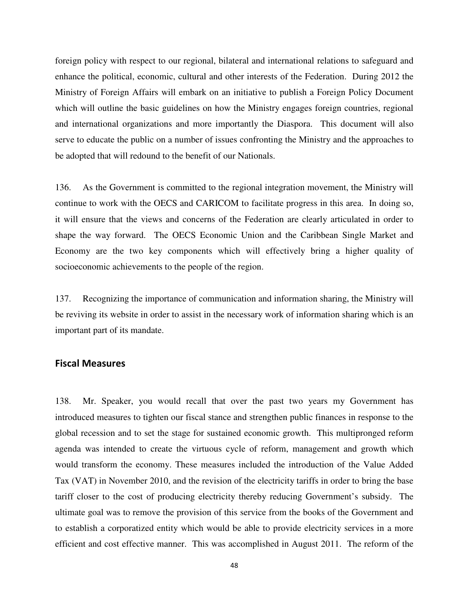foreign policy with respect to our regional, bilateral and international relations to safeguard and enhance the political, economic, cultural and other interests of the Federation. During 2012 the Ministry of Foreign Affairs will embark on an initiative to publish a Foreign Policy Document which will outline the basic guidelines on how the Ministry engages foreign countries, regional and international organizations and more importantly the Diaspora. This document will also serve to educate the public on a number of issues confronting the Ministry and the approaches to be adopted that will redound to the benefit of our Nationals.

136. As the Government is committed to the regional integration movement, the Ministry will continue to work with the OECS and CARICOM to facilitate progress in this area. In doing so, it will ensure that the views and concerns of the Federation are clearly articulated in order to shape the way forward. The OECS Economic Union and the Caribbean Single Market and Economy are the two key components which will effectively bring a higher quality of socioeconomic achievements to the people of the region.

137. Recognizing the importance of communication and information sharing, the Ministry will be reviving its website in order to assist in the necessary work of information sharing which is an important part of its mandate.

#### Fiscal Measures

138. Mr. Speaker, you would recall that over the past two years my Government has introduced measures to tighten our fiscal stance and strengthen public finances in response to the global recession and to set the stage for sustained economic growth. This multipronged reform agenda was intended to create the virtuous cycle of reform, management and growth which would transform the economy. These measures included the introduction of the Value Added Tax (VAT) in November 2010, and the revision of the electricity tariffs in order to bring the base tariff closer to the cost of producing electricity thereby reducing Government's subsidy. The ultimate goal was to remove the provision of this service from the books of the Government and to establish a corporatized entity which would be able to provide electricity services in a more efficient and cost effective manner. This was accomplished in August 2011. The reform of the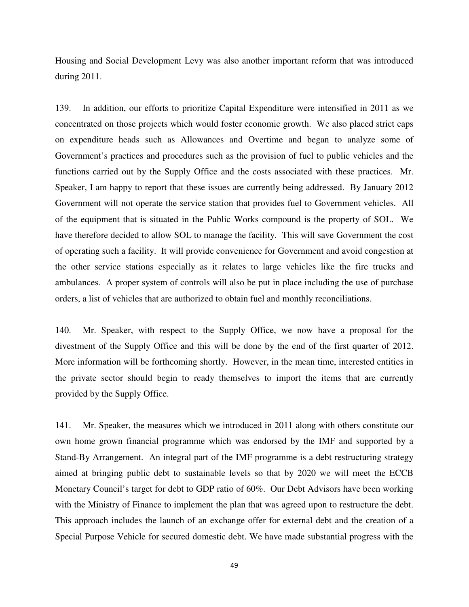Housing and Social Development Levy was also another important reform that was introduced during 2011.

139. In addition, our efforts to prioritize Capital Expenditure were intensified in 2011 as we concentrated on those projects which would foster economic growth. We also placed strict caps on expenditure heads such as Allowances and Overtime and began to analyze some of Government's practices and procedures such as the provision of fuel to public vehicles and the functions carried out by the Supply Office and the costs associated with these practices. Mr. Speaker, I am happy to report that these issues are currently being addressed. By January 2012 Government will not operate the service station that provides fuel to Government vehicles. All of the equipment that is situated in the Public Works compound is the property of SOL. We have therefore decided to allow SOL to manage the facility. This will save Government the cost of operating such a facility. It will provide convenience for Government and avoid congestion at the other service stations especially as it relates to large vehicles like the fire trucks and ambulances. A proper system of controls will also be put in place including the use of purchase orders, a list of vehicles that are authorized to obtain fuel and monthly reconciliations.

140. Mr. Speaker, with respect to the Supply Office, we now have a proposal for the divestment of the Supply Office and this will be done by the end of the first quarter of 2012. More information will be forthcoming shortly. However, in the mean time, interested entities in the private sector should begin to ready themselves to import the items that are currently provided by the Supply Office.

141. Mr. Speaker, the measures which we introduced in 2011 along with others constitute our own home grown financial programme which was endorsed by the IMF and supported by a Stand-By Arrangement. An integral part of the IMF programme is a debt restructuring strategy aimed at bringing public debt to sustainable levels so that by 2020 we will meet the ECCB Monetary Council's target for debt to GDP ratio of 60%. Our Debt Advisors have been working with the Ministry of Finance to implement the plan that was agreed upon to restructure the debt. This approach includes the launch of an exchange offer for external debt and the creation of a Special Purpose Vehicle for secured domestic debt. We have made substantial progress with the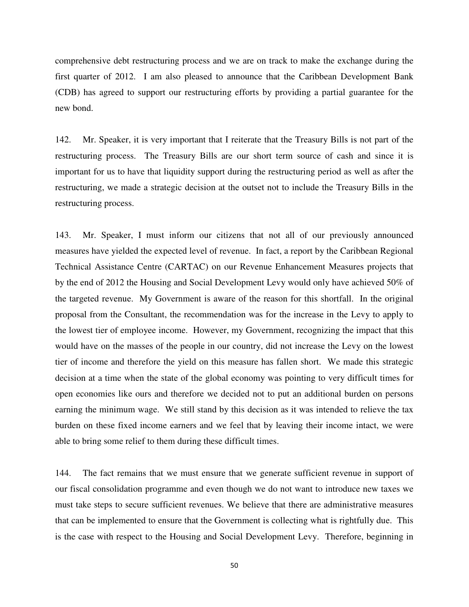comprehensive debt restructuring process and we are on track to make the exchange during the first quarter of 2012. I am also pleased to announce that the Caribbean Development Bank (CDB) has agreed to support our restructuring efforts by providing a partial guarantee for the new bond.

142. Mr. Speaker, it is very important that I reiterate that the Treasury Bills is not part of the restructuring process. The Treasury Bills are our short term source of cash and since it is important for us to have that liquidity support during the restructuring period as well as after the restructuring, we made a strategic decision at the outset not to include the Treasury Bills in the restructuring process.

143. Mr. Speaker, I must inform our citizens that not all of our previously announced measures have yielded the expected level of revenue. In fact, a report by the Caribbean Regional Technical Assistance Centre (CARTAC) on our Revenue Enhancement Measures projects that by the end of 2012 the Housing and Social Development Levy would only have achieved 50% of the targeted revenue. My Government is aware of the reason for this shortfall. In the original proposal from the Consultant, the recommendation was for the increase in the Levy to apply to the lowest tier of employee income. However, my Government, recognizing the impact that this would have on the masses of the people in our country, did not increase the Levy on the lowest tier of income and therefore the yield on this measure has fallen short. We made this strategic decision at a time when the state of the global economy was pointing to very difficult times for open economies like ours and therefore we decided not to put an additional burden on persons earning the minimum wage. We still stand by this decision as it was intended to relieve the tax burden on these fixed income earners and we feel that by leaving their income intact, we were able to bring some relief to them during these difficult times.

144. The fact remains that we must ensure that we generate sufficient revenue in support of our fiscal consolidation programme and even though we do not want to introduce new taxes we must take steps to secure sufficient revenues. We believe that there are administrative measures that can be implemented to ensure that the Government is collecting what is rightfully due. This is the case with respect to the Housing and Social Development Levy. Therefore, beginning in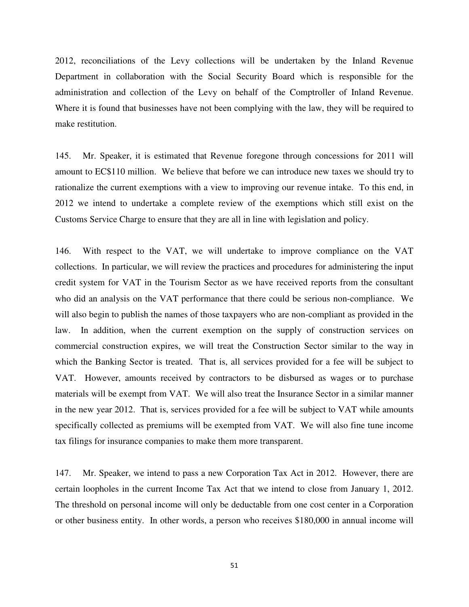2012, reconciliations of the Levy collections will be undertaken by the Inland Revenue Department in collaboration with the Social Security Board which is responsible for the administration and collection of the Levy on behalf of the Comptroller of Inland Revenue. Where it is found that businesses have not been complying with the law, they will be required to make restitution.

145. Mr. Speaker, it is estimated that Revenue foregone through concessions for 2011 will amount to EC\$110 million. We believe that before we can introduce new taxes we should try to rationalize the current exemptions with a view to improving our revenue intake. To this end, in 2012 we intend to undertake a complete review of the exemptions which still exist on the Customs Service Charge to ensure that they are all in line with legislation and policy.

146. With respect to the VAT, we will undertake to improve compliance on the VAT collections. In particular, we will review the practices and procedures for administering the input credit system for VAT in the Tourism Sector as we have received reports from the consultant who did an analysis on the VAT performance that there could be serious non-compliance. We will also begin to publish the names of those taxpayers who are non-compliant as provided in the law. In addition, when the current exemption on the supply of construction services on commercial construction expires, we will treat the Construction Sector similar to the way in which the Banking Sector is treated. That is, all services provided for a fee will be subject to VAT. However, amounts received by contractors to be disbursed as wages or to purchase materials will be exempt from VAT. We will also treat the Insurance Sector in a similar manner in the new year 2012. That is, services provided for a fee will be subject to VAT while amounts specifically collected as premiums will be exempted from VAT. We will also fine tune income tax filings for insurance companies to make them more transparent.

147. Mr. Speaker, we intend to pass a new Corporation Tax Act in 2012. However, there are certain loopholes in the current Income Tax Act that we intend to close from January 1, 2012. The threshold on personal income will only be deductable from one cost center in a Corporation or other business entity. In other words, a person who receives \$180,000 in annual income will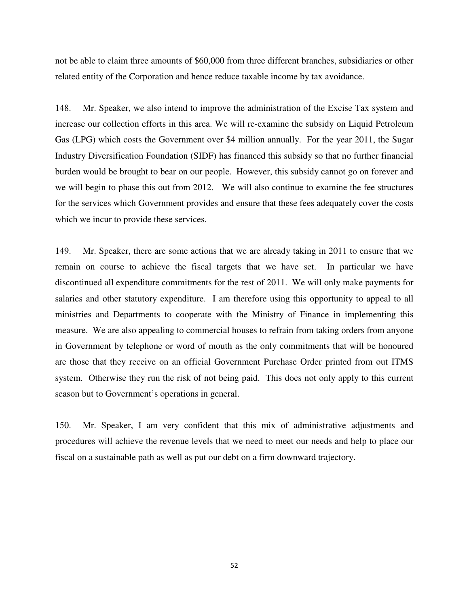not be able to claim three amounts of \$60,000 from three different branches, subsidiaries or other related entity of the Corporation and hence reduce taxable income by tax avoidance.

148. Mr. Speaker, we also intend to improve the administration of the Excise Tax system and increase our collection efforts in this area. We will re-examine the subsidy on Liquid Petroleum Gas (LPG) which costs the Government over \$4 million annually. For the year 2011, the Sugar Industry Diversification Foundation (SIDF) has financed this subsidy so that no further financial burden would be brought to bear on our people. However, this subsidy cannot go on forever and we will begin to phase this out from 2012. We will also continue to examine the fee structures for the services which Government provides and ensure that these fees adequately cover the costs which we incur to provide these services.

149. Mr. Speaker, there are some actions that we are already taking in 2011 to ensure that we remain on course to achieve the fiscal targets that we have set. In particular we have discontinued all expenditure commitments for the rest of 2011. We will only make payments for salaries and other statutory expenditure. I am therefore using this opportunity to appeal to all ministries and Departments to cooperate with the Ministry of Finance in implementing this measure. We are also appealing to commercial houses to refrain from taking orders from anyone in Government by telephone or word of mouth as the only commitments that will be honoured are those that they receive on an official Government Purchase Order printed from out ITMS system. Otherwise they run the risk of not being paid. This does not only apply to this current season but to Government's operations in general.

150. Mr. Speaker, I am very confident that this mix of administrative adjustments and procedures will achieve the revenue levels that we need to meet our needs and help to place our fiscal on a sustainable path as well as put our debt on a firm downward trajectory.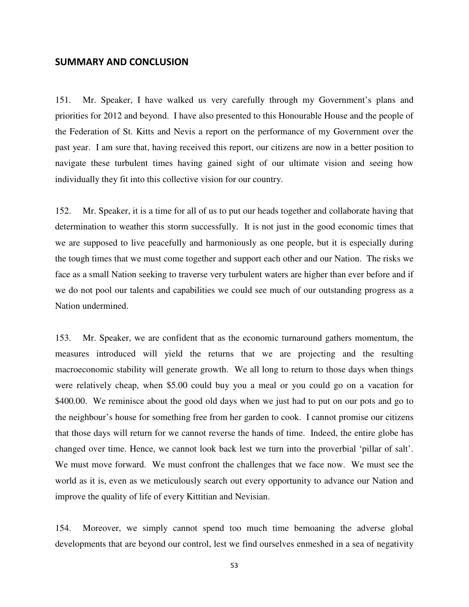#### SUMMARY AND CONCLUSION

151. Mr. Speaker, I have walked us very carefully through my Government's plans and priorities for 2012 and beyond. I have also presented to this Honourable House and the people of the Federation of St. Kitts and Nevis a report on the performance of my Government over the past year. I am sure that, having received this report, our citizens are now in a better position to navigate these turbulent times having gained sight of our ultimate vision and seeing how individually they fit into this collective vision for our country.

152. Mr. Speaker, it is a time for all of us to put our heads together and collaborate having that determination to weather this storm successfully. It is not just in the good economic times that we are supposed to live peacefully and harmoniously as one people, but it is especially during the tough times that we must come together and support each other and our Nation. The risks we face as a small Nation seeking to traverse very turbulent waters are higher than ever before and if we do not pool our talents and capabilities we could see much of our outstanding progress as a Nation undermined.

153. Mr. Speaker, we are confident that as the economic turnaround gathers momentum, the measures introduced will yield the returns that we are projecting and the resulting macroeconomic stability will generate growth. We all long to return to those days when things were relatively cheap, when \$5.00 could buy you a meal or you could go on a vacation for \$400.00. We reminisce about the good old days when we just had to put on our pots and go to the neighbour's house for something free from her garden to cook. I cannot promise our citizens that those days will return for we cannot reverse the hands of time. Indeed, the entire globe has changed over time. Hence, we cannot look back lest we turn into the proverbial 'pillar of salt'. We must move forward. We must confront the challenges that we face now. We must see the world as it is, even as we meticulously search out every opportunity to advance our Nation and improve the quality of life of every Kittitian and Nevisian.

154. Moreover, we simply cannot spend too much time bemoaning the adverse global developments that are beyond our control, lest we find ourselves enmeshed in a sea of negativity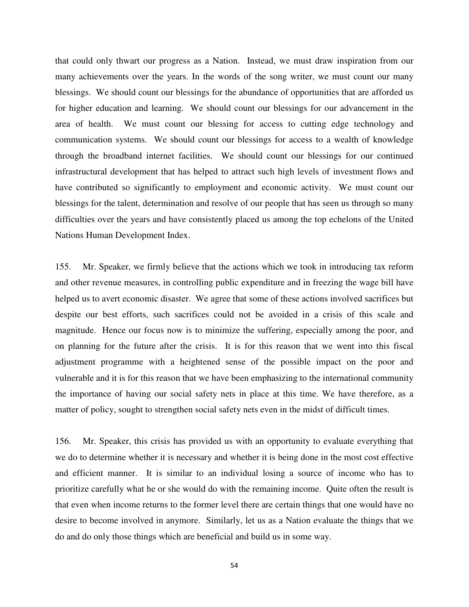that could only thwart our progress as a Nation. Instead, we must draw inspiration from our many achievements over the years. In the words of the song writer, we must count our many blessings. We should count our blessings for the abundance of opportunities that are afforded us for higher education and learning. We should count our blessings for our advancement in the area of health. We must count our blessing for access to cutting edge technology and communication systems. We should count our blessings for access to a wealth of knowledge through the broadband internet facilities. We should count our blessings for our continued infrastructural development that has helped to attract such high levels of investment flows and have contributed so significantly to employment and economic activity. We must count our blessings for the talent, determination and resolve of our people that has seen us through so many difficulties over the years and have consistently placed us among the top echelons of the United Nations Human Development Index.

155. Mr. Speaker, we firmly believe that the actions which we took in introducing tax reform and other revenue measures, in controlling public expenditure and in freezing the wage bill have helped us to avert economic disaster. We agree that some of these actions involved sacrifices but despite our best efforts, such sacrifices could not be avoided in a crisis of this scale and magnitude. Hence our focus now is to minimize the suffering, especially among the poor, and on planning for the future after the crisis. It is for this reason that we went into this fiscal adjustment programme with a heightened sense of the possible impact on the poor and vulnerable and it is for this reason that we have been emphasizing to the international community the importance of having our social safety nets in place at this time. We have therefore, as a matter of policy, sought to strengthen social safety nets even in the midst of difficult times.

156. Mr. Speaker, this crisis has provided us with an opportunity to evaluate everything that we do to determine whether it is necessary and whether it is being done in the most cost effective and efficient manner. It is similar to an individual losing a source of income who has to prioritize carefully what he or she would do with the remaining income. Quite often the result is that even when income returns to the former level there are certain things that one would have no desire to become involved in anymore. Similarly, let us as a Nation evaluate the things that we do and do only those things which are beneficial and build us in some way.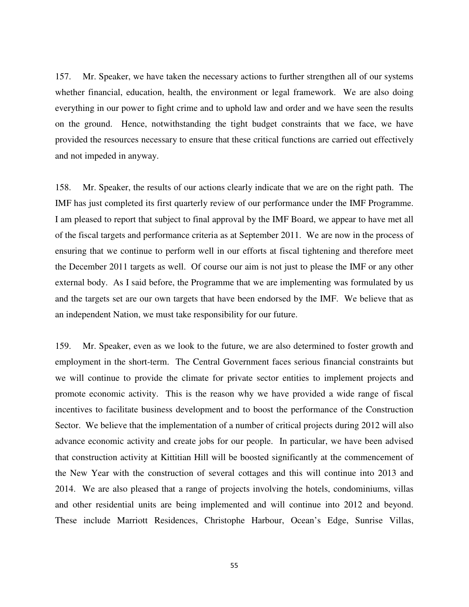157. Mr. Speaker, we have taken the necessary actions to further strengthen all of our systems whether financial, education, health, the environment or legal framework. We are also doing everything in our power to fight crime and to uphold law and order and we have seen the results on the ground. Hence, notwithstanding the tight budget constraints that we face, we have provided the resources necessary to ensure that these critical functions are carried out effectively and not impeded in anyway.

158. Mr. Speaker, the results of our actions clearly indicate that we are on the right path. The IMF has just completed its first quarterly review of our performance under the IMF Programme. I am pleased to report that subject to final approval by the IMF Board, we appear to have met all of the fiscal targets and performance criteria as at September 2011. We are now in the process of ensuring that we continue to perform well in our efforts at fiscal tightening and therefore meet the December 2011 targets as well. Of course our aim is not just to please the IMF or any other external body. As I said before, the Programme that we are implementing was formulated by us and the targets set are our own targets that have been endorsed by the IMF. We believe that as an independent Nation, we must take responsibility for our future.

159. Mr. Speaker, even as we look to the future, we are also determined to foster growth and employment in the short-term. The Central Government faces serious financial constraints but we will continue to provide the climate for private sector entities to implement projects and promote economic activity. This is the reason why we have provided a wide range of fiscal incentives to facilitate business development and to boost the performance of the Construction Sector. We believe that the implementation of a number of critical projects during 2012 will also advance economic activity and create jobs for our people. In particular, we have been advised that construction activity at Kittitian Hill will be boosted significantly at the commencement of the New Year with the construction of several cottages and this will continue into 2013 and 2014. We are also pleased that a range of projects involving the hotels, condominiums, villas and other residential units are being implemented and will continue into 2012 and beyond. These include Marriott Residences, Christophe Harbour, Ocean's Edge, Sunrise Villas,